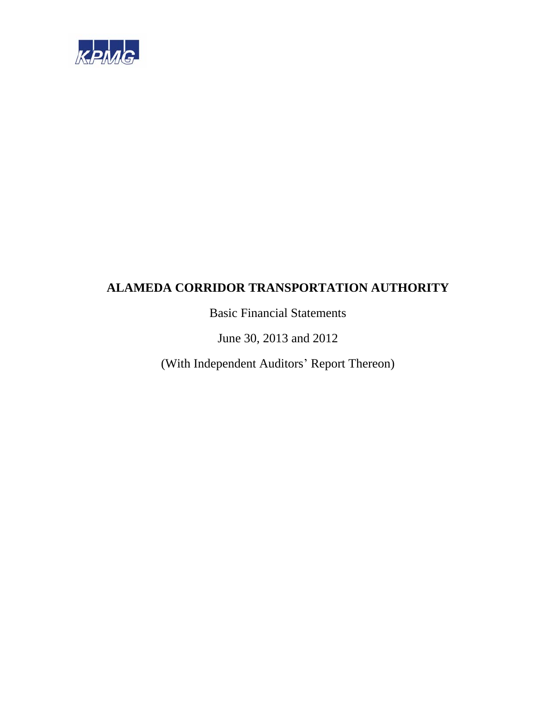

Basic Financial Statements

June 30, 2013 and 2012

(With Independent Auditors' Report Thereon)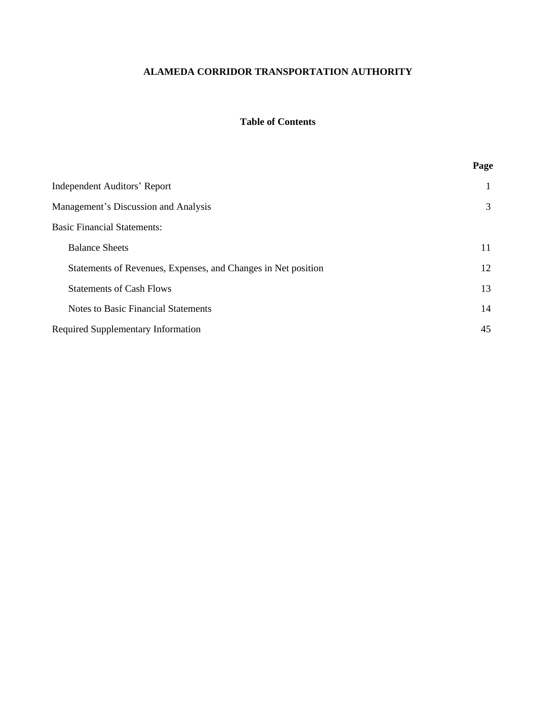## **Table of Contents**

|                                                               | Page |
|---------------------------------------------------------------|------|
| <b>Independent Auditors' Report</b>                           |      |
| Management's Discussion and Analysis                          | 3    |
| <b>Basic Financial Statements:</b>                            |      |
| <b>Balance Sheets</b>                                         | 11   |
| Statements of Revenues, Expenses, and Changes in Net position | 12   |
| <b>Statements of Cash Flows</b>                               | 13   |
| <b>Notes to Basic Financial Statements</b>                    | 14   |
| <b>Required Supplementary Information</b>                     | 45   |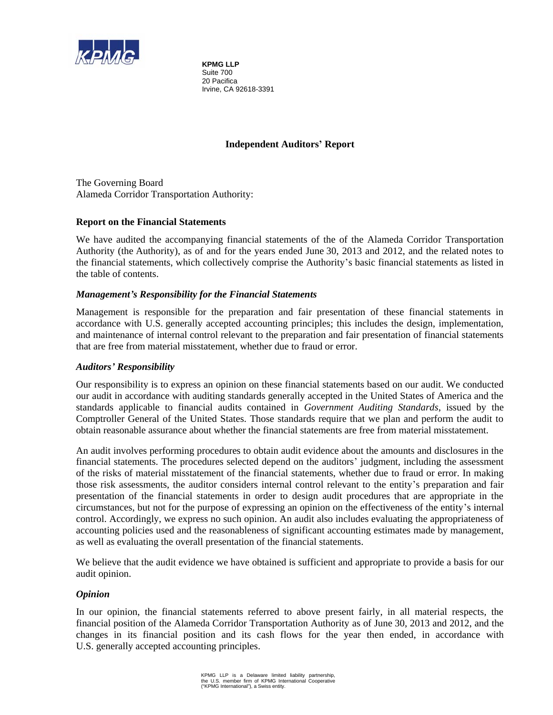

**KPMG LLP**  Suite 700 20 Pacifica Irvine, CA 92618-3391

## **Independent Auditors' Report**

The Governing Board Alameda Corridor Transportation Authority:

## **Report on the Financial Statements**

We have audited the accompanying financial statements of the of the Alameda Corridor Transportation Authority (the Authority), as of and for the years ended June 30, 2013 and 2012, and the related notes to the financial statements, which collectively comprise the Authority's basic financial statements as listed in the table of contents.

## *Management's Responsibility for the Financial Statements*

Management is responsible for the preparation and fair presentation of these financial statements in accordance with U.S. generally accepted accounting principles; this includes the design, implementation, and maintenance of internal control relevant to the preparation and fair presentation of financial statements that are free from material misstatement, whether due to fraud or error.

## *Auditors' Responsibility*

Our responsibility is to express an opinion on these financial statements based on our audit. We conducted our audit in accordance with auditing standards generally accepted in the United States of America and the standards applicable to financial audits contained in *Government Auditing Standards*, issued by the Comptroller General of the United States. Those standards require that we plan and perform the audit to obtain reasonable assurance about whether the financial statements are free from material misstatement.

An audit involves performing procedures to obtain audit evidence about the amounts and disclosures in the financial statements. The procedures selected depend on the auditors' judgment, including the assessment of the risks of material misstatement of the financial statements, whether due to fraud or error. In making those risk assessments, the auditor considers internal control relevant to the entity's preparation and fair presentation of the financial statements in order to design audit procedures that are appropriate in the circumstances, but not for the purpose of expressing an opinion on the effectiveness of the entity's internal control. Accordingly, we express no such opinion. An audit also includes evaluating the appropriateness of accounting policies used and the reasonableness of significant accounting estimates made by management, as well as evaluating the overall presentation of the financial statements.

We believe that the audit evidence we have obtained is sufficient and appropriate to provide a basis for our audit opinion.

## *Opinion*

In our opinion, the financial statements referred to above present fairly, in all material respects, the financial position of the Alameda Corridor Transportation Authority as of June 30, 2013 and 2012, and the changes in its financial position and its cash flows for the year then ended, in accordance with U.S. generally accepted accounting principles.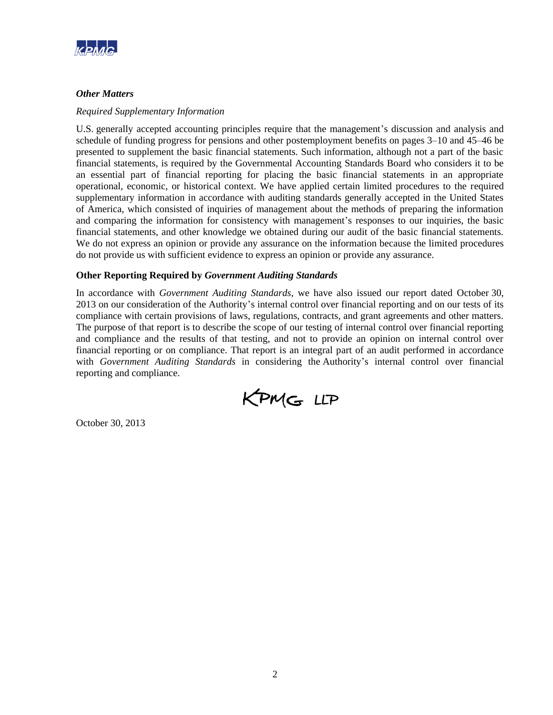

## *Other Matters*

## *Required Supplementary Information*

U.S. generally accepted accounting principles require that the management's discussion and analysis and schedule of funding progress for pensions and other postemployment benefits on pages 3–10 and 45–46 be presented to supplement the basic financial statements. Such information, although not a part of the basic financial statements, is required by the Governmental Accounting Standards Board who considers it to be an essential part of financial reporting for placing the basic financial statements in an appropriate operational, economic, or historical context. We have applied certain limited procedures to the required supplementary information in accordance with auditing standards generally accepted in the United States of America, which consisted of inquiries of management about the methods of preparing the information and comparing the information for consistency with management's responses to our inquiries, the basic financial statements, and other knowledge we obtained during our audit of the basic financial statements. We do not express an opinion or provide any assurance on the information because the limited procedures do not provide us with sufficient evidence to express an opinion or provide any assurance.

## **Other Reporting Required by** *Government Auditing Standards*

In accordance with *Government Auditing Standards*, we have also issued our report dated October 30, 2013 on our consideration of the Authority's internal control over financial reporting and on our tests of its compliance with certain provisions of laws, regulations, contracts, and grant agreements and other matters. The purpose of that report is to describe the scope of our testing of internal control over financial reporting and compliance and the results of that testing, and not to provide an opinion on internal control over financial reporting or on compliance. That report is an integral part of an audit performed in accordance with *Government Auditing Standards* in considering the Authority's internal control over financial reporting and compliance.



October 30, 2013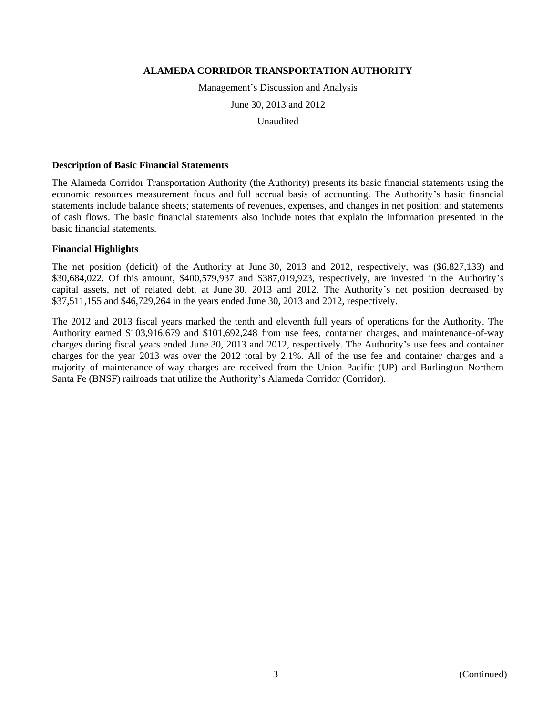Management's Discussion and Analysis

June 30, 2013 and 2012

Unaudited

### **Description of Basic Financial Statements**

The Alameda Corridor Transportation Authority (the Authority) presents its basic financial statements using the economic resources measurement focus and full accrual basis of accounting. The Authority's basic financial statements include balance sheets; statements of revenues, expenses, and changes in net position; and statements of cash flows. The basic financial statements also include notes that explain the information presented in the basic financial statements.

## **Financial Highlights**

The net position (deficit) of the Authority at June 30, 2013 and 2012, respectively, was (\$6,827,133) and \$30,684,022. Of this amount, \$400,579,937 and \$387,019,923, respectively, are invested in the Authority's capital assets, net of related debt, at June 30, 2013 and 2012. The Authority's net position decreased by \$37,511,155 and \$46,729,264 in the years ended June 30, 2013 and 2012, respectively.

The 2012 and 2013 fiscal years marked the tenth and eleventh full years of operations for the Authority. The Authority earned \$103,916,679 and \$101,692,248 from use fees, container charges, and maintenance-of-way charges during fiscal years ended June 30, 2013 and 2012, respectively. The Authority's use fees and container charges for the year 2013 was over the 2012 total by 2.1%. All of the use fee and container charges and a majority of maintenance-of-way charges are received from the Union Pacific (UP) and Burlington Northern Santa Fe (BNSF) railroads that utilize the Authority's Alameda Corridor (Corridor).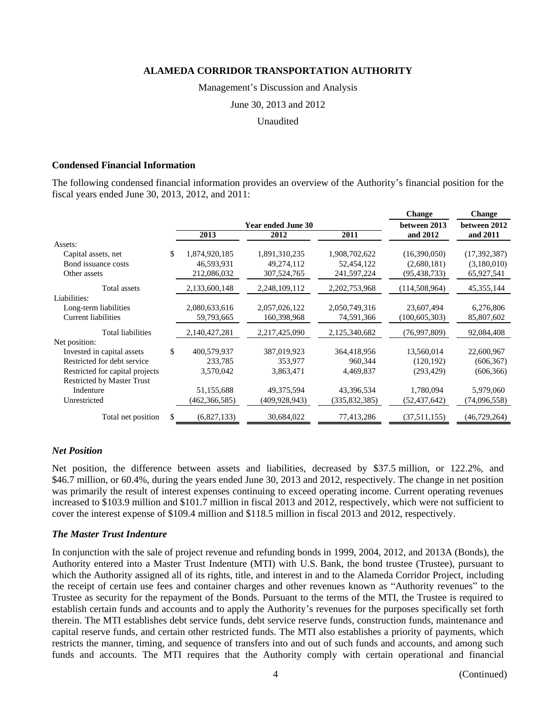Management's Discussion and Analysis

June 30, 2013 and 2012

### Unaudited

## **Condensed Financial Information**

The following condensed financial information provides an overview of the Authority's financial position for the fiscal years ended June 30, 2013, 2012, and 2011:

|                                   |                     |                           |                  | <b>Change</b>   | <b>Change</b>  |
|-----------------------------------|---------------------|---------------------------|------------------|-----------------|----------------|
|                                   |                     | <b>Year ended June 30</b> |                  | between 2013    | between 2012   |
|                                   | 2013                | 2012                      | 2011             | and 2012        | and 2011       |
| Assets:                           |                     |                           |                  |                 |                |
| Capital assets, net               | \$<br>1,874,920,185 | 1,891,310,235             | 1,908,702,622    | (16,390,050)    | (17, 392, 387) |
| Bond issuance costs               | 46,593,931          | 49,274,112                | 52,454,122       | (2,680,181)     | (3,180,010)    |
| Other assets                      | 212,086,032         | 307, 524, 765             | 241,597,224      | (95, 438, 733)  | 65,927,541     |
| Total assets                      | 2,133,600,148       | 2,248,109,112             | 2, 202, 753, 968 | (114,508,964)   | 45, 355, 144   |
| Liabilities:                      |                     |                           |                  |                 |                |
| Long-term liabilities             | 2,080,633,616       | 2,057,026,122             | 2,050,749,316    | 23,607,494      | 6,276,806      |
| Current liabilities               | 59,793,665          | 160,398,968               | 74,591,366       | (100, 605, 303) | 85,807,602     |
| <b>Total liabilities</b>          | 2,140,427,281       | 2,217,425,090             | 2,125,340,682    | (76,997,809)    | 92,084,408     |
| Net position:                     |                     |                           |                  |                 |                |
| Invested in capital assets        | \$<br>400,579,937   | 387,019,923               | 364,418,956      | 13,560,014      | 22,600,967     |
| Restricted for debt service       | 233,785             | 353,977                   | 960,344          | (120, 192)      | (606, 367)     |
| Restricted for capital projects   | 3,570,042           | 3,863,471                 | 4,469,837        | (293, 429)      | (606, 366)     |
| <b>Restricted by Master Trust</b> |                     |                           |                  |                 |                |
| Indenture                         | 51,155,688          | 49,375,594                | 43,396,534       | 1,780,094       | 5,979,060      |
| Unrestricted                      | (462, 366, 585)     | (409, 928, 943)           | (335, 832, 385)  | (52, 437, 642)  | (74,096,558)   |
| Total net position                | \$<br>(6,827,133)   | 30,684,022                | 77,413,286       | (37,511,155)    | (46, 729, 264) |

## *Net Position*

Net position, the difference between assets and liabilities, decreased by \$37.5 million, or 122.2%, and \$46.7 million, or 60.4%, during the years ended June 30, 2013 and 2012, respectively. The change in net position was primarily the result of interest expenses continuing to exceed operating income. Current operating revenues increased to \$103.9 million and \$101.7 million in fiscal 2013 and 2012, respectively, which were not sufficient to cover the interest expense of \$109.4 million and \$118.5 million in fiscal 2013 and 2012, respectively.

## *The Master Trust Indenture*

In conjunction with the sale of project revenue and refunding bonds in 1999, 2004, 2012, and 2013A (Bonds), the Authority entered into a Master Trust Indenture (MTI) with U.S. Bank, the bond trustee (Trustee), pursuant to which the Authority assigned all of its rights, title, and interest in and to the Alameda Corridor Project, including the receipt of certain use fees and container charges and other revenues known as "Authority revenues" to the Trustee as security for the repayment of the Bonds. Pursuant to the terms of the MTI, the Trustee is required to establish certain funds and accounts and to apply the Authority's revenues for the purposes specifically set forth therein. The MTI establishes debt service funds, debt service reserve funds, construction funds, maintenance and capital reserve funds, and certain other restricted funds. The MTI also establishes a priority of payments, which restricts the manner, timing, and sequence of transfers into and out of such funds and accounts, and among such funds and accounts. The MTI requires that the Authority comply with certain operational and financial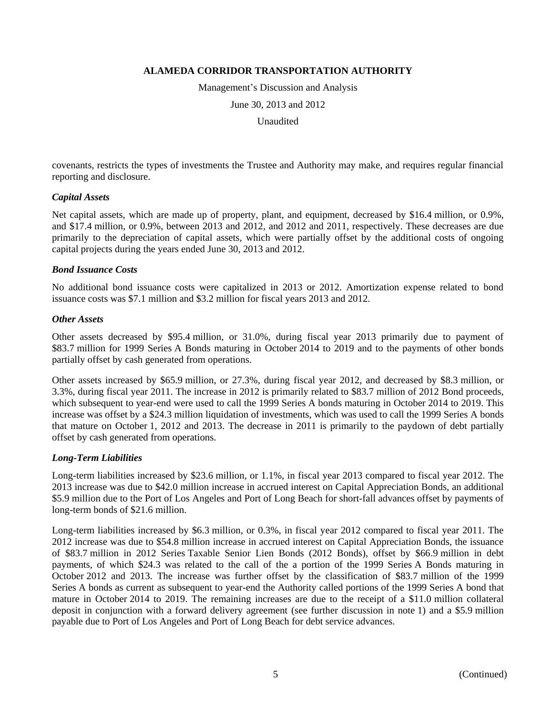Management's Discussion and Analysis

June 30, 2013 and 2012

Unaudited

covenants, restricts the types of investments the Trustee and Authority may make, and requires regular financial reporting and disclosure.

## *Capital Assets*

Net capital assets, which are made up of property, plant, and equipment, decreased by \$16.4 million, or 0.9%, and \$17.4 million, or 0.9%, between 2013 and 2012, and 2012 and 2011, respectively. These decreases are due primarily to the depreciation of capital assets, which were partially offset by the additional costs of ongoing capital projects during the years ended June 30, 2013 and 2012.

## *Bond Issuance Costs*

No additional bond issuance costs were capitalized in 2013 or 2012. Amortization expense related to bond issuance costs was \$7.1 million and \$3.2 million for fiscal years 2013 and 2012.

### *Other Assets*

Other assets decreased by \$95.4 million, or 31.0%, during fiscal year 2013 primarily due to payment of \$83.7 million for 1999 Series A Bonds maturing in October 2014 to 2019 and to the payments of other bonds partially offset by cash generated from operations.

Other assets increased by \$65.9 million, or 27.3%, during fiscal year 2012, and decreased by \$8.3 million, or 3.3%, during fiscal year 2011. The increase in 2012 is primarily related to \$83.7 million of 2012 Bond proceeds, which subsequent to year-end were used to call the 1999 Series A bonds maturing in October 2014 to 2019. This increase was offset by a \$24.3 million liquidation of investments, which was used to call the 1999 Series A bonds that mature on October 1, 2012 and 2013. The decrease in 2011 is primarily to the paydown of debt partially offset by cash generated from operations.

## *Long-Term Liabilities*

Long-term liabilities increased by \$23.6 million, or 1.1%, in fiscal year 2013 compared to fiscal year 2012. The 2013 increase was due to \$42.0 million increase in accrued interest on Capital Appreciation Bonds, an additional \$5.9 million due to the Port of Los Angeles and Port of Long Beach for short-fall advances offset by payments of long-term bonds of \$21.6 million.

Long-term liabilities increased by \$6.3 million, or 0.3%, in fiscal year 2012 compared to fiscal year 2011. The 2012 increase was due to \$54.8 million increase in accrued interest on Capital Appreciation Bonds, the issuance of \$83.7 million in 2012 Series Taxable Senior Lien Bonds (2012 Bonds), offset by \$66.9 million in debt payments, of which \$24.3 was related to the call of the a portion of the 1999 Series A Bonds maturing in October 2012 and 2013. The increase was further offset by the classification of \$83.7 million of the 1999 Series A bonds as current as subsequent to year-end the Authority called portions of the 1999 Series A bond that mature in October 2014 to 2019. The remaining increases are due to the receipt of a \$11.0 million collateral deposit in conjunction with a forward delivery agreement (see further discussion in note 1) and a \$5.9 million payable due to Port of Los Angeles and Port of Long Beach for debt service advances.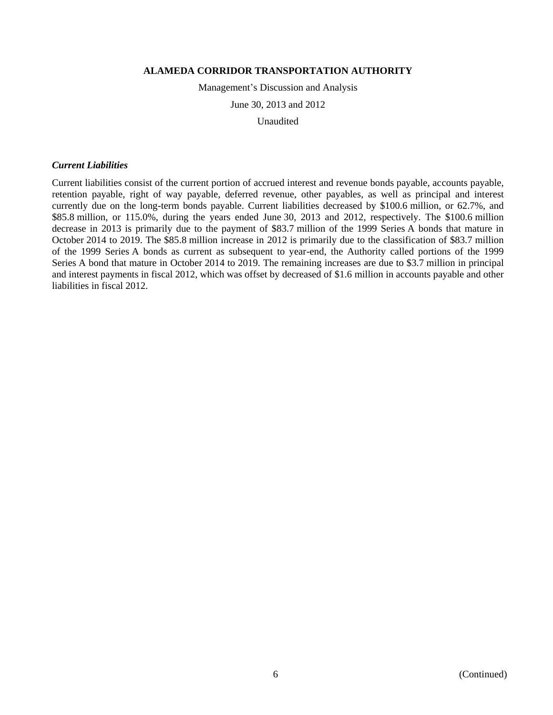Management's Discussion and Analysis

June 30, 2013 and 2012

Unaudited

## *Current Liabilities*

Current liabilities consist of the current portion of accrued interest and revenue bonds payable, accounts payable, retention payable, right of way payable, deferred revenue, other payables, as well as principal and interest currently due on the long-term bonds payable. Current liabilities decreased by \$100.6 million, or 62.7%, and \$85.8 million, or 115.0%, during the years ended June 30, 2013 and 2012, respectively. The \$100.6 million decrease in 2013 is primarily due to the payment of \$83.7 million of the 1999 Series A bonds that mature in October 2014 to 2019. The \$85.8 million increase in 2012 is primarily due to the classification of \$83.7 million of the 1999 Series A bonds as current as subsequent to year-end, the Authority called portions of the 1999 Series A bond that mature in October 2014 to 2019. The remaining increases are due to \$3.7 million in principal and interest payments in fiscal 2012, which was offset by decreased of \$1.6 million in accounts payable and other liabilities in fiscal 2012.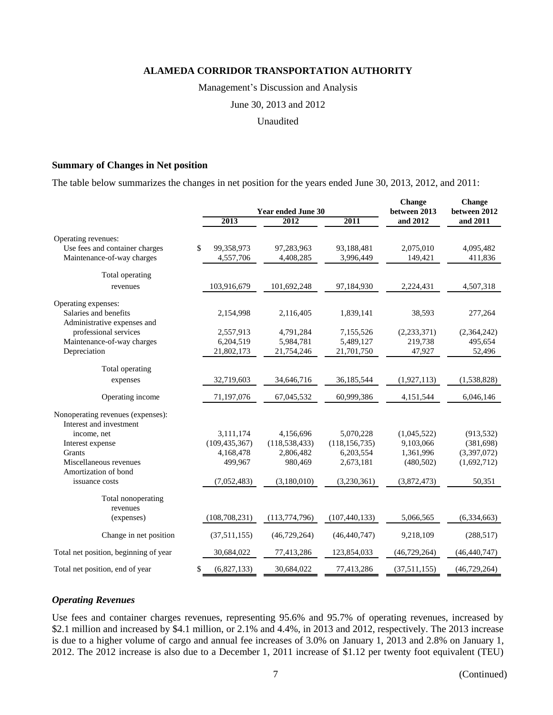Management's Discussion and Analysis

June 30, 2013 and 2012

### Unaudited

## **Summary of Changes in Net position**

The table below summarizes the changes in net position for the years ended June 30, 2013, 2012, and 2011:

|                                       |                   | <b>Year ended June 30</b> |                 | <b>Change</b><br>between 2013 | <b>Change</b><br>between 2012 |  |
|---------------------------------------|-------------------|---------------------------|-----------------|-------------------------------|-------------------------------|--|
|                                       | 2013              | 2012                      | 2011            | and 2012                      | and 2011                      |  |
| Operating revenues:                   |                   |                           |                 |                               |                               |  |
| Use fees and container charges        | \$<br>99,358,973  | 97,283,963                | 93,188,481      | 2,075,010                     | 4,095,482                     |  |
| Maintenance-of-way charges            | 4,557,706         | 4,408,285                 | 3,996,449       | 149,421                       | 411,836                       |  |
| Total operating                       |                   |                           |                 |                               |                               |  |
| revenues                              | 103,916,679       | 101,692,248               | 97,184,930      | 2,224,431                     | 4,507,318                     |  |
| Operating expenses:                   |                   |                           |                 |                               |                               |  |
| Salaries and benefits                 | 2,154,998         | 2,116,405                 | 1,839,141       | 38,593                        | 277,264                       |  |
| Administrative expenses and           |                   |                           |                 |                               |                               |  |
| professional services                 | 2,557,913         | 4,791,284                 | 7,155,526       | (2,233,371)                   | (2,364,242)                   |  |
| Maintenance-of-way charges            | 6,204,519         | 5,984,781                 | 5,489,127       | 219,738                       | 495,654                       |  |
| Depreciation                          | 21,802,173        | 21,754,246                | 21,701,750      | 47,927                        | 52,496                        |  |
| Total operating                       |                   |                           |                 |                               |                               |  |
| expenses                              | 32,719,603        | 34,646,716                | 36,185,544      | (1,927,113)                   | (1,538,828)                   |  |
| Operating income                      | 71,197,076        | 67,045,532                | 60,999,386      | 4,151,544                     | 6,046,146                     |  |
| Nonoperating revenues (expenses):     |                   |                           |                 |                               |                               |  |
| Interest and investment               |                   |                           |                 |                               |                               |  |
| income, net                           | 3,111,174         | 4,156,696                 | 5,070,228       | (1,045,522)                   | (913, 532)                    |  |
| Interest expense                      | (109, 435, 367)   | (118, 538, 433)           | (118, 156, 735) | 9,103,066                     | (381, 698)                    |  |
| Grants                                | 4,168,478         | 2,806,482                 | 6,203,554       | 1,361,996                     | (3,397,072)                   |  |
| Miscellaneous revenues                | 499,967           | 980,469                   | 2,673,181       | (480, 502)                    | (1,692,712)                   |  |
| Amortization of bond                  |                   |                           |                 |                               |                               |  |
| issuance costs                        | (7,052,483)       | (3,180,010)               | (3,230,361)     | (3,872,473)                   | 50,351                        |  |
| Total nonoperating                    |                   |                           |                 |                               |                               |  |
| revenues                              |                   |                           |                 |                               |                               |  |
| (expenses)                            | (108, 708, 231)   | (113, 774, 796)           | (107, 440, 133) | 5,066,565                     | (6,334,663)                   |  |
| Change in net position                | (37,511,155)      | (46, 729, 264)            | (46, 440, 747)  | 9,218,109                     | (288, 517)                    |  |
| Total net position, beginning of year | 30,684,022        | 77,413,286                | 123,854,033     | (46, 729, 264)                | (46, 440, 747)                |  |
| Total net position, end of year       | \$<br>(6,827,133) | 30,684,022                | 77,413,286      | (37,511,155)                  | (46, 729, 264)                |  |

### *Operating Revenues*

Use fees and container charges revenues, representing 95.6% and 95.7% of operating revenues, increased by \$2.1 million and increased by \$4.1 million, or 2.1% and 4.4%, in 2013 and 2012, respectively. The 2013 increase is due to a higher volume of cargo and annual fee increases of 3.0% on January 1, 2013 and 2.8% on January 1, 2012. The 2012 increase is also due to a December 1, 2011 increase of \$1.12 per twenty foot equivalent (TEU)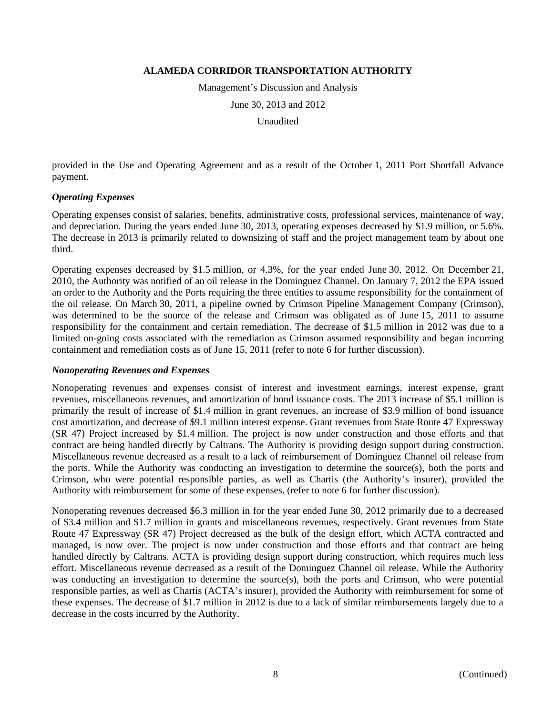Management's Discussion and Analysis

June 30, 2013 and 2012

Unaudited

provided in the Use and Operating Agreement and as a result of the October 1, 2011 Port Shortfall Advance payment.

## *Operating Expenses*

Operating expenses consist of salaries, benefits, administrative costs, professional services, maintenance of way, and depreciation. During the years ended June 30, 2013, operating expenses decreased by \$1.9 million, or 5.6%. The decrease in 2013 is primarily related to downsizing of staff and the project management team by about one third.

Operating expenses decreased by \$1.5 million, or 4.3%, for the year ended June 30, 2012. On December 21, 2010, the Authority was notified of an oil release in the Dominguez Channel. On January 7, 2012 the EPA issued an order to the Authority and the Ports requiring the three entities to assume responsibility for the containment of the oil release. On March 30, 2011, a pipeline owned by Crimson Pipeline Management Company (Crimson), was determined to be the source of the release and Crimson was obligated as of June 15, 2011 to assume responsibility for the containment and certain remediation. The decrease of \$1.5 million in 2012 was due to a limited on-going costs associated with the remediation as Crimson assumed responsibility and began incurring containment and remediation costs as of June 15, 2011 (refer to note 6 for further discussion).

## *Nonoperating Revenues and Expenses*

Nonoperating revenues and expenses consist of interest and investment earnings, interest expense, grant revenues, miscellaneous revenues, and amortization of bond issuance costs. The 2013 increase of \$5.1 million is primarily the result of increase of \$1.4 million in grant revenues, an increase of \$3.9 million of bond issuance cost amortization, and decrease of \$9.1 million interest expense. Grant revenues from State Route 47 Expressway (SR 47) Project increased by \$1.4 million. The project is now under construction and those efforts and that contract are being handled directly by Caltrans. The Authority is providing design support during construction. Miscellaneous revenue decreased as a result to a lack of reimbursement of Dominguez Channel oil release from the ports. While the Authority was conducting an investigation to determine the source(s), both the ports and Crimson, who were potential responsible parties, as well as Chartis (the Authority's insurer), provided the Authority with reimbursement for some of these expenses. (refer to note 6 for further discussion).

Nonoperating revenues decreased \$6.3 million in for the year ended June 30, 2012 primarily due to a decreased of \$3.4 million and \$1.7 million in grants and miscellaneous revenues, respectively. Grant revenues from State Route 47 Expressway (SR 47) Project decreased as the bulk of the design effort, which ACTA contracted and managed, is now over. The project is now under construction and those efforts and that contract are being handled directly by Caltrans. ACTA is providing design support during construction, which requires much less effort. Miscellaneous revenue decreased as a result of the Dominguez Channel oil release. While the Authority was conducting an investigation to determine the source(s), both the ports and Crimson, who were potential responsible parties, as well as Chartis (ACTA's insurer), provided the Authority with reimbursement for some of these expenses. The decrease of \$1.7 million in 2012 is due to a lack of similar reimbursements largely due to a decrease in the costs incurred by the Authority.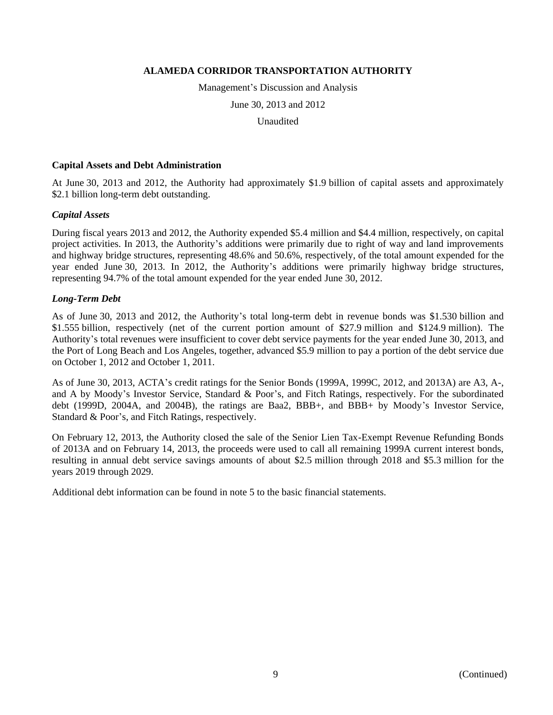Management's Discussion and Analysis

June 30, 2013 and 2012

Unaudited

### **Capital Assets and Debt Administration**

At June 30, 2013 and 2012, the Authority had approximately \$1.9 billion of capital assets and approximately \$2.1 billion long-term debt outstanding.

## *Capital Assets*

During fiscal years 2013 and 2012, the Authority expended \$5.4 million and \$4.4 million, respectively, on capital project activities. In 2013, the Authority's additions were primarily due to right of way and land improvements and highway bridge structures, representing 48.6% and 50.6%, respectively, of the total amount expended for the year ended June 30, 2013. In 2012, the Authority's additions were primarily highway bridge structures, representing 94.7% of the total amount expended for the year ended June 30, 2012.

## *Long-Term Debt*

As of June 30, 2013 and 2012, the Authority's total long-term debt in revenue bonds was \$1.530 billion and \$1.555 billion, respectively (net of the current portion amount of \$27.9 million and \$124.9 million). The Authority's total revenues were insufficient to cover debt service payments for the year ended June 30, 2013, and the Port of Long Beach and Los Angeles, together, advanced \$5.9 million to pay a portion of the debt service due on October 1, 2012 and October 1, 2011.

As of June 30, 2013, ACTA's credit ratings for the Senior Bonds (1999A, 1999C, 2012, and 2013A) are A3, A-, and A by Moody's Investor Service, Standard & Poor's, and Fitch Ratings, respectively. For the subordinated debt (1999D, 2004A, and 2004B), the ratings are Baa2, BBB+, and BBB+ by Moody's Investor Service, Standard & Poor's, and Fitch Ratings, respectively.

On February 12, 2013, the Authority closed the sale of the Senior Lien Tax-Exempt Revenue Refunding Bonds of 2013A and on February 14, 2013, the proceeds were used to call all remaining 1999A current interest bonds, resulting in annual debt service savings amounts of about \$2.5 million through 2018 and \$5.3 million for the years 2019 through 2029.

Additional debt information can be found in note 5 to the basic financial statements.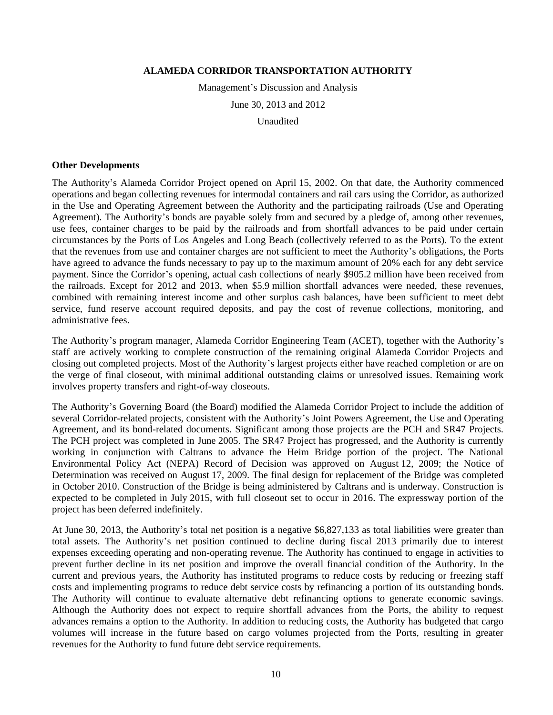Management's Discussion and Analysis

June 30, 2013 and 2012

Unaudited

#### **Other Developments**

The Authority's Alameda Corridor Project opened on April 15, 2002. On that date, the Authority commenced operations and began collecting revenues for intermodal containers and rail cars using the Corridor, as authorized in the Use and Operating Agreement between the Authority and the participating railroads (Use and Operating Agreement). The Authority's bonds are payable solely from and secured by a pledge of, among other revenues, use fees, container charges to be paid by the railroads and from shortfall advances to be paid under certain circumstances by the Ports of Los Angeles and Long Beach (collectively referred to as the Ports). To the extent that the revenues from use and container charges are not sufficient to meet the Authority's obligations, the Ports have agreed to advance the funds necessary to pay up to the maximum amount of 20% each for any debt service payment. Since the Corridor's opening, actual cash collections of nearly \$905.2 million have been received from the railroads. Except for 2012 and 2013, when \$5.9 million shortfall advances were needed, these revenues, combined with remaining interest income and other surplus cash balances, have been sufficient to meet debt service, fund reserve account required deposits, and pay the cost of revenue collections, monitoring, and administrative fees.

The Authority's program manager, Alameda Corridor Engineering Team (ACET), together with the Authority's staff are actively working to complete construction of the remaining original Alameda Corridor Projects and closing out completed projects. Most of the Authority's largest projects either have reached completion or are on the verge of final closeout, with minimal additional outstanding claims or unresolved issues. Remaining work involves property transfers and right-of-way closeouts.

The Authority's Governing Board (the Board) modified the Alameda Corridor Project to include the addition of several Corridor-related projects, consistent with the Authority's Joint Powers Agreement, the Use and Operating Agreement, and its bond-related documents. Significant among those projects are the PCH and SR47 Projects. The PCH project was completed in June 2005. The SR47 Project has progressed, and the Authority is currently working in conjunction with Caltrans to advance the Heim Bridge portion of the project. The National Environmental Policy Act (NEPA) Record of Decision was approved on August 12, 2009; the Notice of Determination was received on August 17, 2009. The final design for replacement of the Bridge was completed in October 2010. Construction of the Bridge is being administered by Caltrans and is underway. Construction is expected to be completed in July 2015, with full closeout set to occur in 2016. The expressway portion of the project has been deferred indefinitely.

At June 30, 2013, the Authority's total net position is a negative \$6,827,133 as total liabilities were greater than total assets. The Authority's net position continued to decline during fiscal 2013 primarily due to interest expenses exceeding operating and non-operating revenue. The Authority has continued to engage in activities to prevent further decline in its net position and improve the overall financial condition of the Authority. In the current and previous years, the Authority has instituted programs to reduce costs by reducing or freezing staff costs and implementing programs to reduce debt service costs by refinancing a portion of its outstanding bonds. The Authority will continue to evaluate alternative debt refinancing options to generate economic savings. Although the Authority does not expect to require shortfall advances from the Ports, the ability to request advances remains a option to the Authority. In addition to reducing costs, the Authority has budgeted that cargo volumes will increase in the future based on cargo volumes projected from the Ports, resulting in greater revenues for the Authority to fund future debt service requirements.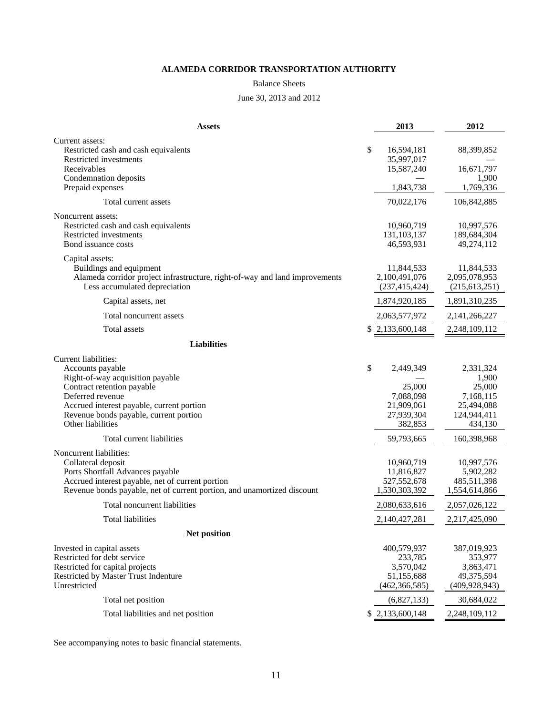## Balance Sheets

## June 30, 2013 and 2012

| <b>Assets</b>                                                                                                                                                                                                                              | 2013                                                                          | 2012                                                                              |
|--------------------------------------------------------------------------------------------------------------------------------------------------------------------------------------------------------------------------------------------|-------------------------------------------------------------------------------|-----------------------------------------------------------------------------------|
| Current assets:<br>Restricted cash and cash equivalents<br>Restricted investments<br>Receivables<br>Condemnation deposits<br>Prepaid expenses                                                                                              | \$<br>16,594,181<br>35,997,017<br>15,587,240<br>1,843,738                     | 88,399,852<br>16,671,797<br>1,900<br>1,769,336                                    |
| Total current assets                                                                                                                                                                                                                       | 70,022,176                                                                    | 106,842,885                                                                       |
| Noncurrent assets:<br>Restricted cash and cash equivalents<br>Restricted investments<br>Bond issuance costs                                                                                                                                | 10,960,719<br>131, 103, 137<br>46,593,931                                     | 10,997,576<br>189,684,304<br>49,274,112                                           |
| Capital assets:<br>Buildings and equipment<br>Alameda corridor project infrastructure, right-of-way and land improvements<br>Less accumulated depreciation                                                                                 | 11,844,533<br>2,100,491,076<br>(237, 415, 424)                                | 11,844,533<br>2,095,078,953<br>(215, 613, 251)                                    |
| Capital assets, net                                                                                                                                                                                                                        | 1,874,920,185                                                                 | 1,891,310,235                                                                     |
| Total noncurrent assets                                                                                                                                                                                                                    | 2,063,577,972                                                                 | 2, 141, 266, 227                                                                  |
| <b>Total</b> assets                                                                                                                                                                                                                        | \$2,133,600,148                                                               | 2,248,109,112                                                                     |
| <b>Liabilities</b>                                                                                                                                                                                                                         |                                                                               |                                                                                   |
| Current liabilities:<br>Accounts payable<br>Right-of-way acquisition payable<br>Contract retention payable<br>Deferred revenue<br>Accrued interest payable, current portion<br>Revenue bonds payable, current portion<br>Other liabilities | \$<br>2,449,349<br>25,000<br>7,088,098<br>21,909,061<br>27,939,304<br>382,853 | 2,331,324<br>1,900<br>25,000<br>7,168,115<br>25,494,088<br>124,944,411<br>434,130 |
| Total current liabilities                                                                                                                                                                                                                  | 59,793,665                                                                    | 160,398,968                                                                       |
| Noncurrent liabilities:<br>Collateral deposit<br>Ports Shortfall Advances payable<br>Accrued interest payable, net of current portion<br>Revenue bonds payable, net of current portion, and unamortized discount                           | 10,960,719<br>11,816,827<br>527, 552, 678<br>1,530,303,392                    | 10,997,576<br>5,902,282<br>485,511,398<br>1,554,614,866                           |
| Total noncurrent liabilities                                                                                                                                                                                                               | 2,080,633,616                                                                 | 2,057,026,122                                                                     |
| <b>Total liabilities</b>                                                                                                                                                                                                                   | 2,140,427,281                                                                 | 2,217,425,090                                                                     |
| Net position                                                                                                                                                                                                                               |                                                                               |                                                                                   |
| Invested in capital assets<br>Restricted for debt service<br>Restricted for capital projects<br>Restricted by Master Trust Indenture<br>Unrestricted                                                                                       | 400,579,937<br>233,785<br>3,570,042<br>51,155,688<br>(462, 366, 585)          | 387,019,923<br>353,977<br>3,863,471<br>49,375,594<br>(409, 928, 943)              |
| Total net position                                                                                                                                                                                                                         | (6,827,133)                                                                   | 30,684,022                                                                        |
| Total liabilities and net position                                                                                                                                                                                                         | \$2,133,600,148                                                               | 2,248,109,112                                                                     |

See accompanying notes to basic financial statements.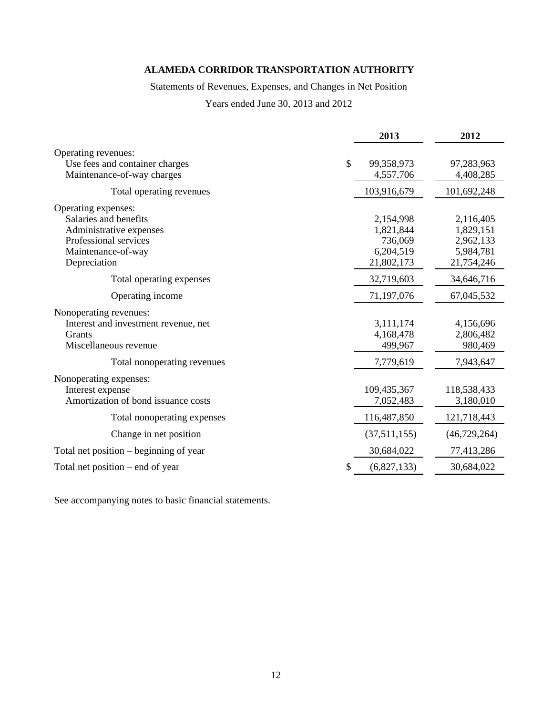## Statements of Revenues, Expenses, and Changes in Net Position

Years ended June 30, 2013 and 2012

|                                                                                                                                        | 2013                                                         | 2012                                                           |
|----------------------------------------------------------------------------------------------------------------------------------------|--------------------------------------------------------------|----------------------------------------------------------------|
| Operating revenues:<br>Use fees and container charges<br>Maintenance-of-way charges                                                    | $\mathcal{S}$<br>99,358,973<br>4,557,706                     | 97,283,963<br>4,408,285                                        |
| Total operating revenues                                                                                                               | 103,916,679                                                  | 101,692,248                                                    |
| Operating expenses:<br>Salaries and benefits<br>Administrative expenses<br>Professional services<br>Maintenance-of-way<br>Depreciation | 2,154,998<br>1,821,844<br>736,069<br>6,204,519<br>21,802,173 | 2,116,405<br>1,829,151<br>2,962,133<br>5,984,781<br>21,754,246 |
| Total operating expenses                                                                                                               | 32,719,603                                                   | 34,646,716                                                     |
| Operating income                                                                                                                       | 71,197,076                                                   | 67,045,532                                                     |
| Nonoperating revenues:<br>Interest and investment revenue, net<br>Grants<br>Miscellaneous revenue                                      | 3,111,174<br>4,168,478<br>499,967                            | 4,156,696<br>2,806,482<br>980,469                              |
| Total nonoperating revenues                                                                                                            | 7,779,619                                                    | 7,943,647                                                      |
| Nonoperating expenses:<br>Interest expense<br>Amortization of bond issuance costs                                                      | 109,435,367<br>7,052,483                                     | 118,538,433<br>3,180,010                                       |
| Total nonoperating expenses                                                                                                            | 116,487,850                                                  | 121,718,443                                                    |
| Change in net position                                                                                                                 | (37,511,155)                                                 | (46, 729, 264)                                                 |
| Total net position – beginning of year                                                                                                 | 30,684,022                                                   | 77,413,286                                                     |
| Total net position – end of year                                                                                                       | \$<br>(6,827,133)                                            | 30,684,022                                                     |

See accompanying notes to basic financial statements.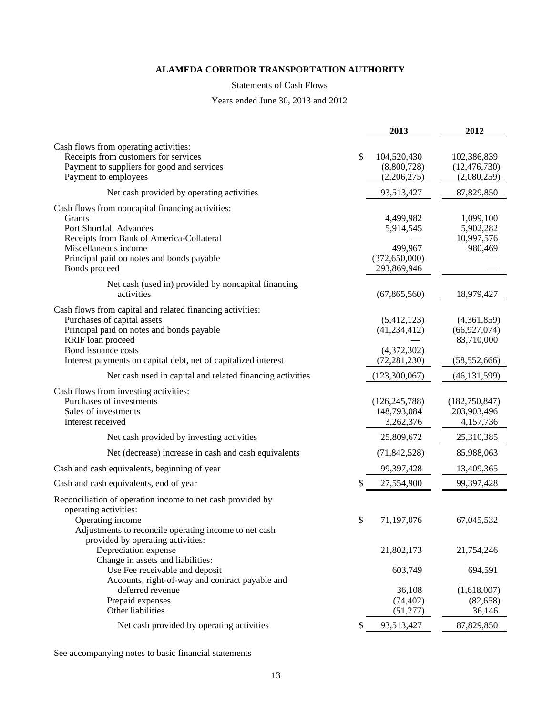Statements of Cash Flows

Years ended June 30, 2013 and 2012

|                                                                                                                                                                                                                         | 2013                                                                | 2012                                            |
|-------------------------------------------------------------------------------------------------------------------------------------------------------------------------------------------------------------------------|---------------------------------------------------------------------|-------------------------------------------------|
| Cash flows from operating activities:<br>Receipts from customers for services<br>Payment to suppliers for good and services<br>Payment to employees                                                                     | \$<br>104,520,430<br>(8,800,728)<br>(2,206,275)                     | 102,386,839<br>(12, 476, 730)<br>(2,080,259)    |
| Net cash provided by operating activities                                                                                                                                                                               | 93,513,427                                                          | 87,829,850                                      |
| Cash flows from noncapital financing activities:<br>Grants<br>Port Shortfall Advances<br>Receipts from Bank of America-Collateral<br>Miscellaneous income<br>Principal paid on notes and bonds payable<br>Bonds proceed | 4,499,982<br>5,914,545<br>499,967<br>(372, 650, 000)<br>293,869,946 | 1,099,100<br>5,902,282<br>10,997,576<br>980,469 |
| Net cash (used in) provided by noncapital financing<br>activities                                                                                                                                                       | (67, 865, 560)                                                      | 18,979,427                                      |
| Cash flows from capital and related financing activities:<br>Purchases of capital assets<br>Principal paid on notes and bonds payable<br>RRIF loan proceed<br>Bond issuance costs                                       | (5,412,123)<br>(41, 234, 412)<br>(4,372,302)                        | (4,361,859)<br>(66, 927, 074)<br>83,710,000     |
| Interest payments on capital debt, net of capitalized interest                                                                                                                                                          | (72, 281, 230)                                                      | (58, 552, 666)                                  |
| Net cash used in capital and related financing activities                                                                                                                                                               | (123,300,067)                                                       | (46, 131, 599)                                  |
| Cash flows from investing activities:<br>Purchases of investments<br>Sales of investments<br>Interest received                                                                                                          | (126, 245, 788)<br>148,793,084<br>3,262,376                         | (182, 750, 847)<br>203,903,496<br>4,157,736     |
| Net cash provided by investing activities                                                                                                                                                                               | 25,809,672                                                          | 25,310,385                                      |
| Net (decrease) increase in cash and cash equivalents                                                                                                                                                                    | (71, 842, 528)                                                      | 85,988,063                                      |
| Cash and cash equivalents, beginning of year                                                                                                                                                                            | 99,397,428                                                          | 13,409,365                                      |
| Cash and cash equivalents, end of year                                                                                                                                                                                  | \$<br>27,554,900                                                    | 99,397,428                                      |
| Reconciliation of operation income to net cash provided by<br>operating activities:<br>Operating income<br>Adjustments to reconcile operating income to net cash                                                        | \$<br>71,197,076                                                    | 67,045,532                                      |
| provided by operating activities:<br>Depreciation expense<br>Change in assets and liabilities:                                                                                                                          | 21,802,173                                                          | 21,754,246                                      |
| Use Fee receivable and deposit<br>Accounts, right-of-way and contract payable and                                                                                                                                       | 603,749                                                             | 694,591                                         |
| deferred revenue<br>Prepaid expenses<br>Other liabilities                                                                                                                                                               | 36,108<br>(74, 402)<br>(51,277)                                     | (1,618,007)<br>(82, 658)<br>36,146              |
| Net cash provided by operating activities                                                                                                                                                                               | \$<br>93,513,427                                                    | 87,829,850                                      |

See accompanying notes to basic financial statements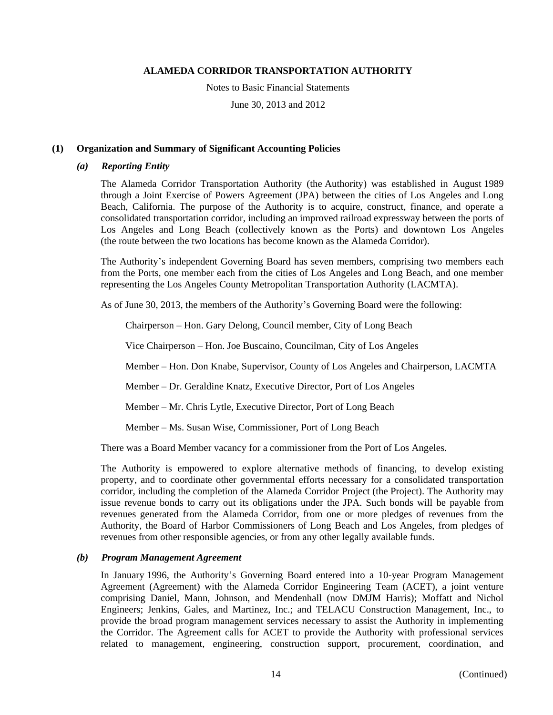Notes to Basic Financial Statements

June 30, 2013 and 2012

## **(1) Organization and Summary of Significant Accounting Policies**

## *(a) Reporting Entity*

The Alameda Corridor Transportation Authority (the Authority) was established in August 1989 through a Joint Exercise of Powers Agreement (JPA) between the cities of Los Angeles and Long Beach, California. The purpose of the Authority is to acquire, construct, finance, and operate a consolidated transportation corridor, including an improved railroad expressway between the ports of Los Angeles and Long Beach (collectively known as the Ports) and downtown Los Angeles (the route between the two locations has become known as the Alameda Corridor).

The Authority's independent Governing Board has seven members, comprising two members each from the Ports, one member each from the cities of Los Angeles and Long Beach, and one member representing the Los Angeles County Metropolitan Transportation Authority (LACMTA).

As of June 30, 2013, the members of the Authority's Governing Board were the following:

Chairperson – Hon. Gary Delong, Council member, City of Long Beach

Vice Chairperson – Hon. Joe Buscaino, Councilman, City of Los Angeles

Member – Hon. Don Knabe, Supervisor, County of Los Angeles and Chairperson, LACMTA

Member – Dr. Geraldine Knatz, Executive Director, Port of Los Angeles

Member – Mr. Chris Lytle, Executive Director, Port of Long Beach

Member – Ms. Susan Wise, Commissioner, Port of Long Beach

There was a Board Member vacancy for a commissioner from the Port of Los Angeles.

The Authority is empowered to explore alternative methods of financing, to develop existing property, and to coordinate other governmental efforts necessary for a consolidated transportation corridor, including the completion of the Alameda Corridor Project (the Project). The Authority may issue revenue bonds to carry out its obligations under the JPA. Such bonds will be payable from revenues generated from the Alameda Corridor, from one or more pledges of revenues from the Authority, the Board of Harbor Commissioners of Long Beach and Los Angeles, from pledges of revenues from other responsible agencies, or from any other legally available funds.

## *(b) Program Management Agreement*

In January 1996, the Authority's Governing Board entered into a 10-year Program Management Agreement (Agreement) with the Alameda Corridor Engineering Team (ACET), a joint venture comprising Daniel, Mann, Johnson, and Mendenhall (now DMJM Harris); Moffatt and Nichol Engineers; Jenkins, Gales, and Martinez, Inc.; and TELACU Construction Management, Inc., to provide the broad program management services necessary to assist the Authority in implementing the Corridor. The Agreement calls for ACET to provide the Authority with professional services related to management, engineering, construction support, procurement, coordination, and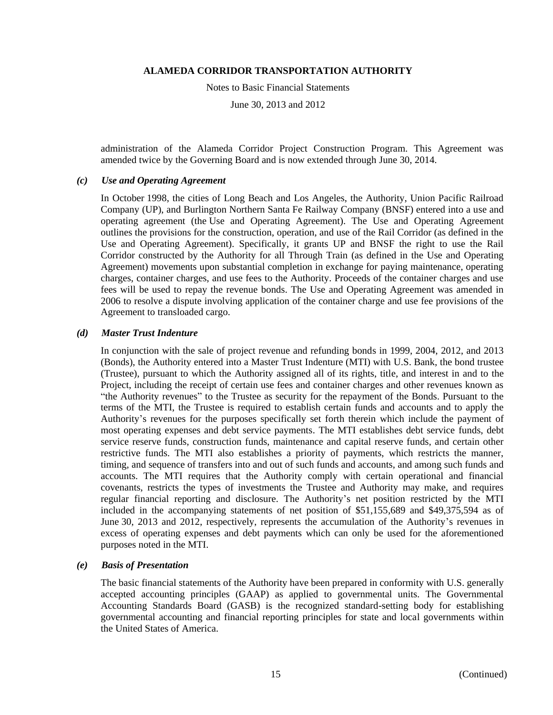Notes to Basic Financial Statements

June 30, 2013 and 2012

administration of the Alameda Corridor Project Construction Program. This Agreement was amended twice by the Governing Board and is now extended through June 30, 2014.

### *(c) Use and Operating Agreement*

In October 1998, the cities of Long Beach and Los Angeles, the Authority, Union Pacific Railroad Company (UP), and Burlington Northern Santa Fe Railway Company (BNSF) entered into a use and operating agreement (the Use and Operating Agreement). The Use and Operating Agreement outlines the provisions for the construction, operation, and use of the Rail Corridor (as defined in the Use and Operating Agreement). Specifically, it grants UP and BNSF the right to use the Rail Corridor constructed by the Authority for all Through Train (as defined in the Use and Operating Agreement) movements upon substantial completion in exchange for paying maintenance, operating charges, container charges, and use fees to the Authority. Proceeds of the container charges and use fees will be used to repay the revenue bonds. The Use and Operating Agreement was amended in 2006 to resolve a dispute involving application of the container charge and use fee provisions of the Agreement to transloaded cargo.

## *(d) Master Trust Indenture*

In conjunction with the sale of project revenue and refunding bonds in 1999, 2004, 2012, and 2013 (Bonds), the Authority entered into a Master Trust Indenture (MTI) with U.S. Bank, the bond trustee (Trustee), pursuant to which the Authority assigned all of its rights, title, and interest in and to the Project, including the receipt of certain use fees and container charges and other revenues known as "the Authority revenues" to the Trustee as security for the repayment of the Bonds. Pursuant to the terms of the MTI, the Trustee is required to establish certain funds and accounts and to apply the Authority's revenues for the purposes specifically set forth therein which include the payment of most operating expenses and debt service payments. The MTI establishes debt service funds, debt service reserve funds, construction funds, maintenance and capital reserve funds, and certain other restrictive funds. The MTI also establishes a priority of payments, which restricts the manner, timing, and sequence of transfers into and out of such funds and accounts, and among such funds and accounts. The MTI requires that the Authority comply with certain operational and financial covenants, restricts the types of investments the Trustee and Authority may make, and requires regular financial reporting and disclosure. The Authority's net position restricted by the MTI included in the accompanying statements of net position of \$51,155,689 and \$49,375,594 as of June 30, 2013 and 2012, respectively, represents the accumulation of the Authority's revenues in excess of operating expenses and debt payments which can only be used for the aforementioned purposes noted in the MTI.

## *(e) Basis of Presentation*

The basic financial statements of the Authority have been prepared in conformity with U.S. generally accepted accounting principles (GAAP) as applied to governmental units. The Governmental Accounting Standards Board (GASB) is the recognized standard-setting body for establishing governmental accounting and financial reporting principles for state and local governments within the United States of America.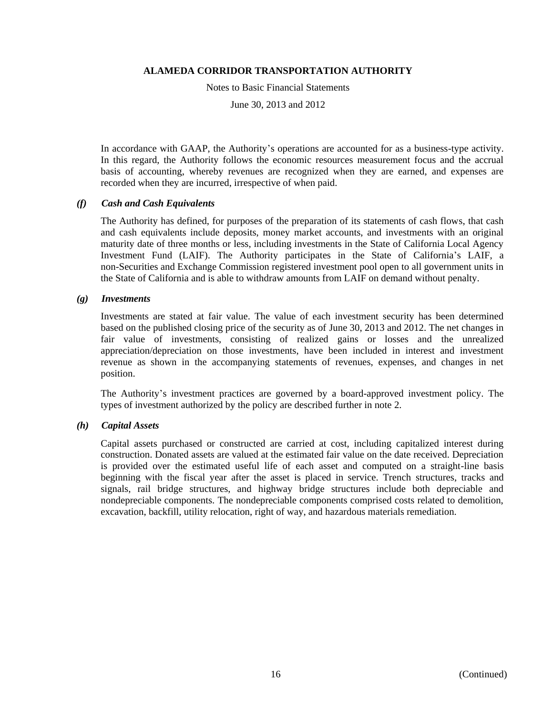Notes to Basic Financial Statements

June 30, 2013 and 2012

In accordance with GAAP, the Authority's operations are accounted for as a business-type activity. In this regard, the Authority follows the economic resources measurement focus and the accrual basis of accounting, whereby revenues are recognized when they are earned, and expenses are recorded when they are incurred, irrespective of when paid.

## *(f) Cash and Cash Equivalents*

The Authority has defined, for purposes of the preparation of its statements of cash flows, that cash and cash equivalents include deposits, money market accounts, and investments with an original maturity date of three months or less, including investments in the State of California Local Agency Investment Fund (LAIF). The Authority participates in the State of California's LAIF, a non-Securities and Exchange Commission registered investment pool open to all government units in the State of California and is able to withdraw amounts from LAIF on demand without penalty.

## *(g) Investments*

Investments are stated at fair value. The value of each investment security has been determined based on the published closing price of the security as of June 30, 2013 and 2012. The net changes in fair value of investments, consisting of realized gains or losses and the unrealized appreciation/depreciation on those investments, have been included in interest and investment revenue as shown in the accompanying statements of revenues, expenses, and changes in net position.

The Authority's investment practices are governed by a board-approved investment policy. The types of investment authorized by the policy are described further in note 2.

## *(h) Capital Assets*

Capital assets purchased or constructed are carried at cost, including capitalized interest during construction. Donated assets are valued at the estimated fair value on the date received. Depreciation is provided over the estimated useful life of each asset and computed on a straight-line basis beginning with the fiscal year after the asset is placed in service. Trench structures, tracks and signals, rail bridge structures, and highway bridge structures include both depreciable and nondepreciable components. The nondepreciable components comprised costs related to demolition, excavation, backfill, utility relocation, right of way, and hazardous materials remediation.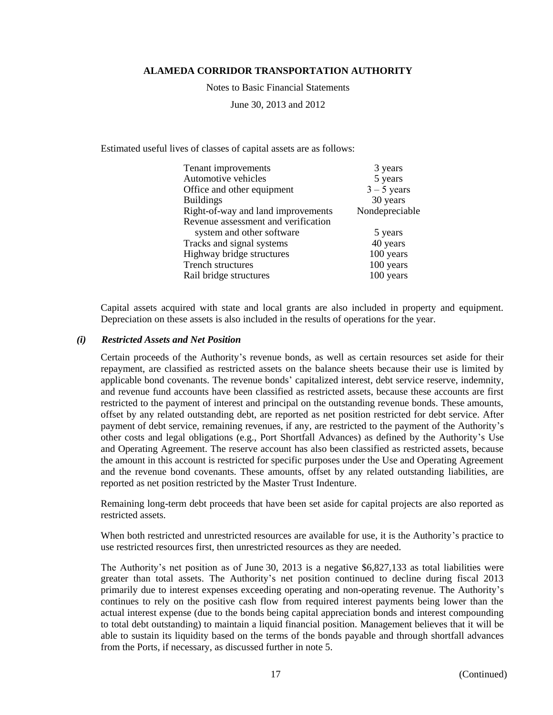Notes to Basic Financial Statements

June 30, 2013 and 2012

Estimated useful lives of classes of capital assets are as follows:

| Tenant improvements                 | 3 years        |
|-------------------------------------|----------------|
| Automotive vehicles                 | 5 years        |
| Office and other equipment          | $3 - 5$ years  |
| <b>Buildings</b>                    | 30 years       |
| Right-of-way and land improvements  | Nondepreciable |
| Revenue assessment and verification |                |
| system and other software           | 5 years        |
| Tracks and signal systems           | 40 years       |
| Highway bridge structures           | 100 years      |
| Trench structures                   | 100 years      |
| Rail bridge structures              | 100 years      |

Capital assets acquired with state and local grants are also included in property and equipment. Depreciation on these assets is also included in the results of operations for the year.

## *(i) Restricted Assets and Net Position*

Certain proceeds of the Authority's revenue bonds, as well as certain resources set aside for their repayment, are classified as restricted assets on the balance sheets because their use is limited by applicable bond covenants. The revenue bonds' capitalized interest, debt service reserve, indemnity, and revenue fund accounts have been classified as restricted assets, because these accounts are first restricted to the payment of interest and principal on the outstanding revenue bonds. These amounts, offset by any related outstanding debt, are reported as net position restricted for debt service. After payment of debt service, remaining revenues, if any, are restricted to the payment of the Authority's other costs and legal obligations (e.g., Port Shortfall Advances) as defined by the Authority's Use and Operating Agreement. The reserve account has also been classified as restricted assets, because the amount in this account is restricted for specific purposes under the Use and Operating Agreement and the revenue bond covenants. These amounts, offset by any related outstanding liabilities, are reported as net position restricted by the Master Trust Indenture.

Remaining long-term debt proceeds that have been set aside for capital projects are also reported as restricted assets.

When both restricted and unrestricted resources are available for use, it is the Authority's practice to use restricted resources first, then unrestricted resources as they are needed.

The Authority's net position as of June 30, 2013 is a negative \$6,827,133 as total liabilities were greater than total assets. The Authority's net position continued to decline during fiscal 2013 primarily due to interest expenses exceeding operating and non-operating revenue. The Authority's continues to rely on the positive cash flow from required interest payments being lower than the actual interest expense (due to the bonds being capital appreciation bonds and interest compounding to total debt outstanding) to maintain a liquid financial position. Management believes that it will be able to sustain its liquidity based on the terms of the bonds payable and through shortfall advances from the Ports, if necessary, as discussed further in note 5.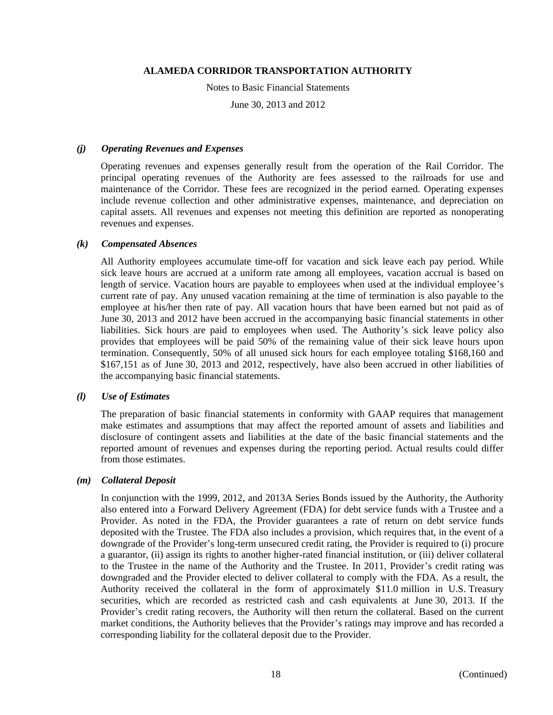Notes to Basic Financial Statements

June 30, 2013 and 2012

## *(j) Operating Revenues and Expenses*

Operating revenues and expenses generally result from the operation of the Rail Corridor. The principal operating revenues of the Authority are fees assessed to the railroads for use and maintenance of the Corridor. These fees are recognized in the period earned. Operating expenses include revenue collection and other administrative expenses, maintenance, and depreciation on capital assets. All revenues and expenses not meeting this definition are reported as nonoperating revenues and expenses.

## *(k) Compensated Absences*

All Authority employees accumulate time-off for vacation and sick leave each pay period. While sick leave hours are accrued at a uniform rate among all employees, vacation accrual is based on length of service. Vacation hours are payable to employees when used at the individual employee's current rate of pay. Any unused vacation remaining at the time of termination is also payable to the employee at his/her then rate of pay. All vacation hours that have been earned but not paid as of June 30, 2013 and 2012 have been accrued in the accompanying basic financial statements in other liabilities. Sick hours are paid to employees when used. The Authority's sick leave policy also provides that employees will be paid 50% of the remaining value of their sick leave hours upon termination. Consequently, 50% of all unused sick hours for each employee totaling \$168,160 and \$167,151 as of June 30, 2013 and 2012, respectively, have also been accrued in other liabilities of the accompanying basic financial statements.

## *(l) Use of Estimates*

The preparation of basic financial statements in conformity with GAAP requires that management make estimates and assumptions that may affect the reported amount of assets and liabilities and disclosure of contingent assets and liabilities at the date of the basic financial statements and the reported amount of revenues and expenses during the reporting period. Actual results could differ from those estimates.

## *(m) Collateral Deposit*

In conjunction with the 1999, 2012, and 2013A Series Bonds issued by the Authority, the Authority also entered into a Forward Delivery Agreement (FDA) for debt service funds with a Trustee and a Provider. As noted in the FDA, the Provider guarantees a rate of return on debt service funds deposited with the Trustee. The FDA also includes a provision, which requires that, in the event of a downgrade of the Provider's long-term unsecured credit rating, the Provider is required to (i) procure a guarantor, (ii) assign its rights to another higher-rated financial institution, or (iii) deliver collateral to the Trustee in the name of the Authority and the Trustee. In 2011, Provider's credit rating was downgraded and the Provider elected to deliver collateral to comply with the FDA. As a result, the Authority received the collateral in the form of approximately \$11.0 million in U.S. Treasury securities, which are recorded as restricted cash and cash equivalents at June 30, 2013. If the Provider's credit rating recovers, the Authority will then return the collateral. Based on the current market conditions, the Authority believes that the Provider's ratings may improve and has recorded a corresponding liability for the collateral deposit due to the Provider.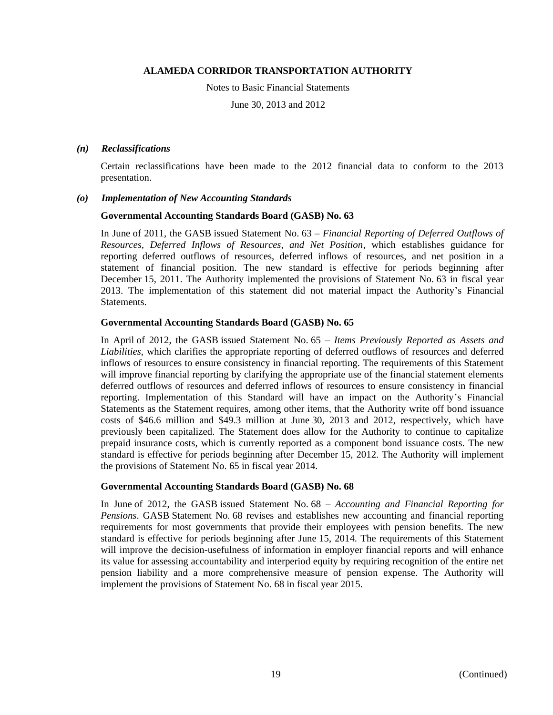Notes to Basic Financial Statements

June 30, 2013 and 2012

## *(n) Reclassifications*

Certain reclassifications have been made to the 2012 financial data to conform to the 2013 presentation.

## *(o) Implementation of New Accounting Standards*

## **Governmental Accounting Standards Board (GASB) No. 63**

In June of 2011, the GASB issued Statement No. 63 – *Financial Reporting of Deferred Outflows of Resources, Deferred Inflows of Resources, and Net Position*, which establishes guidance for reporting deferred outflows of resources, deferred inflows of resources, and net position in a statement of financial position. The new standard is effective for periods beginning after December 15, 2011. The Authority implemented the provisions of Statement No. 63 in fiscal year 2013. The implementation of this statement did not material impact the Authority's Financial Statements.

## **Governmental Accounting Standards Board (GASB) No. 65**

In April of 2012, the GASB issued Statement No. 65 – *Items Previously Reported as Assets and Liabilities*, which clarifies the appropriate reporting of deferred outflows of resources and deferred inflows of resources to ensure consistency in financial reporting. The requirements of this Statement will improve financial reporting by clarifying the appropriate use of the financial statement elements deferred outflows of resources and deferred inflows of resources to ensure consistency in financial reporting. Implementation of this Standard will have an impact on the Authority's Financial Statements as the Statement requires, among other items, that the Authority write off bond issuance costs of \$46.6 million and \$49.3 million at June 30, 2013 and 2012, respectively, which have previously been capitalized. The Statement does allow for the Authority to continue to capitalize prepaid insurance costs, which is currently reported as a component bond issuance costs. The new standard is effective for periods beginning after December 15, 2012. The Authority will implement the provisions of Statement No. 65 in fiscal year 2014.

## **Governmental Accounting Standards Board (GASB) No. 68**

In June of 2012, the GASB issued Statement No. 68 – *Accounting and Financial Reporting for Pensions*. GASB Statement No. 68 revises and establishes new accounting and financial reporting requirements for most governments that provide their employees with pension benefits. The new standard is effective for periods beginning after June 15, 2014. The requirements of this Statement will improve the decision-usefulness of information in employer financial reports and will enhance its value for assessing accountability and interperiod equity by requiring recognition of the entire net pension liability and a more comprehensive measure of pension expense. The Authority will implement the provisions of Statement No. 68 in fiscal year 2015.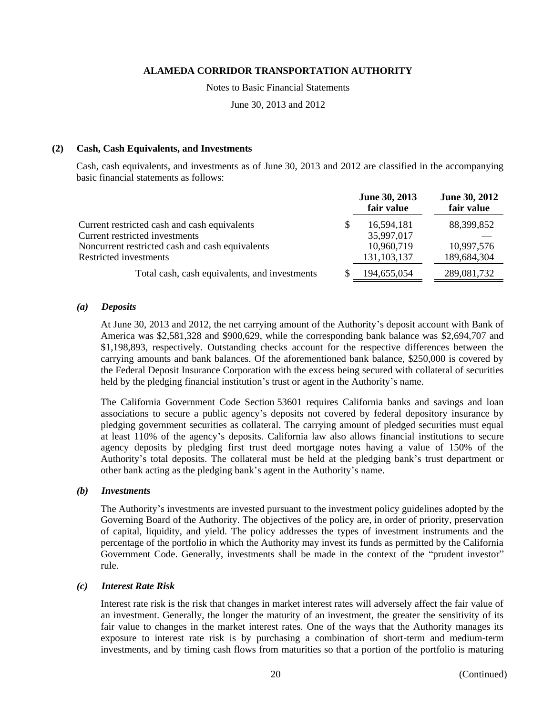Notes to Basic Financial Statements

June 30, 2013 and 2012

## **(2) Cash, Cash Equivalents, and Investments**

Cash, cash equivalents, and investments as of June 30, 2013 and 2012 are classified in the accompanying basic financial statements as follows:

|                                                 | June 30, 2013<br>fair value | <b>June 30, 2012</b><br>fair value |
|-------------------------------------------------|-----------------------------|------------------------------------|
| Current restricted cash and cash equivalents    | 16,594,181                  | 88,399,852                         |
| Current restricted investments                  | 35,997,017                  |                                    |
| Noncurrent restricted cash and cash equivalents | 10,960,719                  | 10,997,576                         |
| Restricted investments                          | 131, 103, 137               | 189,684,304                        |
| Total cash, cash equivalents, and investments   | 194,655,054                 | 289,081,732                        |

## *(a) Deposits*

At June 30, 2013 and 2012, the net carrying amount of the Authority's deposit account with Bank of America was \$2,581,328 and \$900,629, while the corresponding bank balance was \$2,694,707 and \$1,198,893, respectively. Outstanding checks account for the respective differences between the carrying amounts and bank balances. Of the aforementioned bank balance, \$250,000 is covered by the Federal Deposit Insurance Corporation with the excess being secured with collateral of securities held by the pledging financial institution's trust or agent in the Authority's name.

The California Government Code Section 53601 requires California banks and savings and loan associations to secure a public agency's deposits not covered by federal depository insurance by pledging government securities as collateral. The carrying amount of pledged securities must equal at least 110% of the agency's deposits. California law also allows financial institutions to secure agency deposits by pledging first trust deed mortgage notes having a value of 150% of the Authority's total deposits. The collateral must be held at the pledging bank's trust department or other bank acting as the pledging bank's agent in the Authority's name.

## *(b) Investments*

The Authority's investments are invested pursuant to the investment policy guidelines adopted by the Governing Board of the Authority. The objectives of the policy are, in order of priority, preservation of capital, liquidity, and yield. The policy addresses the types of investment instruments and the percentage of the portfolio in which the Authority may invest its funds as permitted by the California Government Code. Generally, investments shall be made in the context of the "prudent investor" rule.

## *(c) Interest Rate Risk*

Interest rate risk is the risk that changes in market interest rates will adversely affect the fair value of an investment. Generally, the longer the maturity of an investment, the greater the sensitivity of its fair value to changes in the market interest rates. One of the ways that the Authority manages its exposure to interest rate risk is by purchasing a combination of short-term and medium-term investments, and by timing cash flows from maturities so that a portion of the portfolio is maturing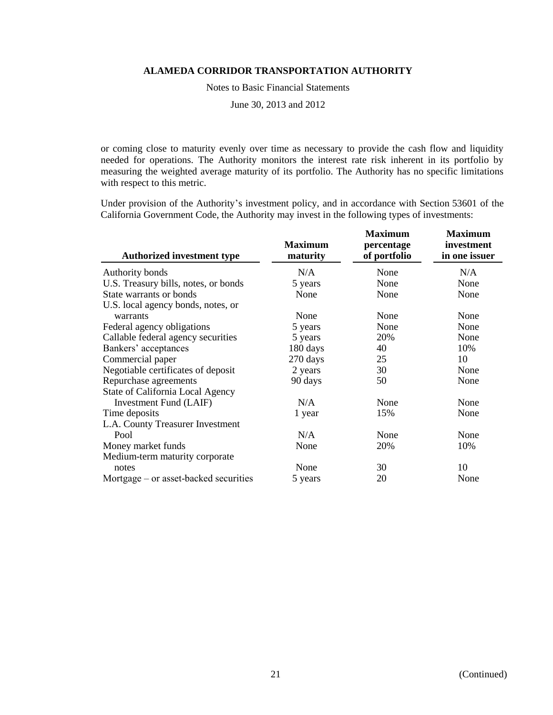Notes to Basic Financial Statements

June 30, 2013 and 2012

or coming close to maturity evenly over time as necessary to provide the cash flow and liquidity needed for operations. The Authority monitors the interest rate risk inherent in its portfolio by measuring the weighted average maturity of its portfolio. The Authority has no specific limitations with respect to this metric.

Under provision of the Authority's investment policy, and in accordance with Section 53601 of the California Government Code, the Authority may invest in the following types of investments:

| <b>Authorized investment type</b>     | <b>Maximum</b><br>maturity | <b>Maximum</b><br>percentage<br>of portfolio | <b>Maximum</b><br>investment<br>in one issuer |
|---------------------------------------|----------------------------|----------------------------------------------|-----------------------------------------------|
| Authority bonds                       | N/A                        | None                                         | N/A                                           |
| U.S. Treasury bills, notes, or bonds  | 5 years                    | None                                         | None                                          |
| State warrants or bonds               | None                       | None                                         | None                                          |
| U.S. local agency bonds, notes, or    |                            |                                              |                                               |
| warrants                              | None                       | None                                         | None                                          |
| Federal agency obligations            | 5 years                    | None                                         | None                                          |
| Callable federal agency securities    | 5 years                    | 20%                                          | None                                          |
| Bankers' acceptances                  | 180 days                   | 40                                           | 10%                                           |
| Commercial paper                      | 270 days                   | 25                                           | 10                                            |
| Negotiable certificates of deposit    | 2 years                    | 30                                           | None                                          |
| Repurchase agreements                 | 90 days                    | 50                                           | None                                          |
| State of California Local Agency      |                            |                                              |                                               |
| Investment Fund (LAIF)                | N/A                        | None                                         | None                                          |
| Time deposits                         | 1 year                     | 15%                                          | None                                          |
| L.A. County Treasurer Investment      |                            |                                              |                                               |
| Pool                                  | N/A                        | None                                         | None                                          |
| Money market funds                    | None                       | 20%                                          | 10%                                           |
| Medium-term maturity corporate        |                            |                                              |                                               |
| notes                                 | None                       | 30                                           | 10                                            |
| Mortgage – or asset-backed securities | 5 years                    | 20                                           | None                                          |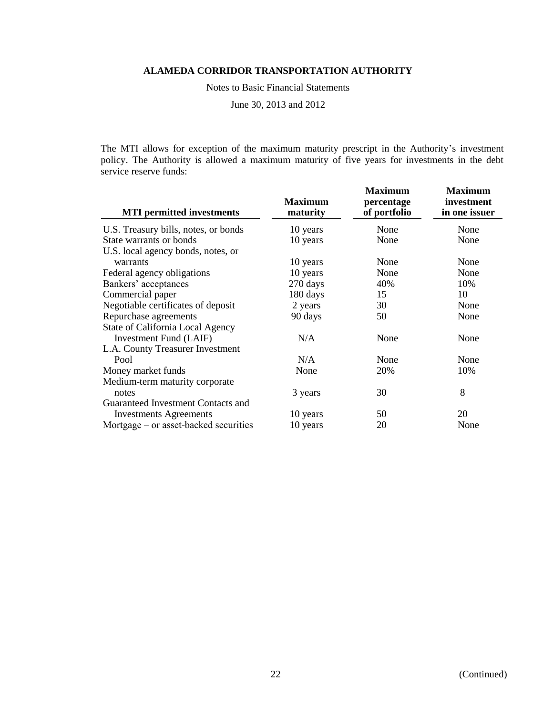Notes to Basic Financial Statements

June 30, 2013 and 2012

The MTI allows for exception of the maximum maturity prescript in the Authority's investment policy. The Authority is allowed a maximum maturity of five years for investments in the debt service reserve funds:

| <b>MTI</b> permitted investments      | <b>Maximum</b><br>maturity | <b>Maximum</b><br>percentage<br>of portfolio | <b>Maximum</b><br>investment<br>in one issuer |
|---------------------------------------|----------------------------|----------------------------------------------|-----------------------------------------------|
| U.S. Treasury bills, notes, or bonds  | 10 years                   | None                                         | None                                          |
| State warrants or bonds               | 10 years                   | None                                         | None                                          |
| U.S. local agency bonds, notes, or    |                            |                                              |                                               |
| warrants                              | 10 years                   | None                                         | None                                          |
| Federal agency obligations            | 10 years                   | None                                         | None                                          |
| Bankers' acceptances                  | 270 days                   | 40%                                          | 10%                                           |
| Commercial paper                      | 180 days                   | 15                                           | 10                                            |
| Negotiable certificates of deposit    | 2 years                    | 30                                           | None                                          |
| Repurchase agreements                 | 90 days                    | 50                                           | None                                          |
| State of California Local Agency      |                            |                                              |                                               |
| Investment Fund (LAIF)                | N/A                        | None                                         | None                                          |
| L.A. County Treasurer Investment      |                            |                                              |                                               |
| Pool                                  | N/A                        | None                                         | None                                          |
| Money market funds                    | None                       | 20%                                          | 10%                                           |
| Medium-term maturity corporate        |                            |                                              |                                               |
| notes                                 | 3 years                    | 30                                           | 8                                             |
| Guaranteed Investment Contacts and    |                            |                                              |                                               |
| <b>Investments Agreements</b>         | 10 years                   | 50                                           | 20                                            |
| Mortgage – or asset-backed securities | 10 years                   | 20                                           | None                                          |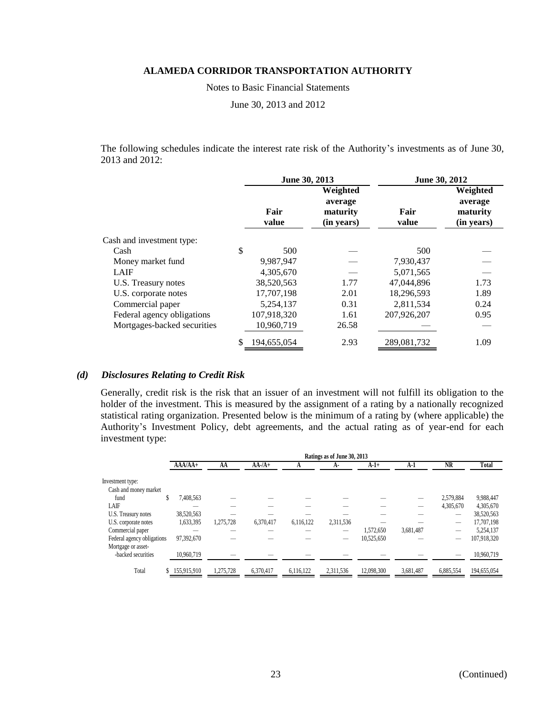Notes to Basic Financial Statements

June 30, 2013 and 2012

The following schedules indicate the interest rate risk of the Authority's investments as of June 30, 2013 and 2012:

|                             | June 30, 2013 |                                               | June 30, 2012 |                                               |  |
|-----------------------------|---------------|-----------------------------------------------|---------------|-----------------------------------------------|--|
|                             | Fair<br>value | Weighted<br>average<br>maturity<br>(in years) | Fair<br>value | Weighted<br>average<br>maturity<br>(in years) |  |
| Cash and investment type:   |               |                                               |               |                                               |  |
| Cash                        | \$<br>500     |                                               | 500           |                                               |  |
| Money market fund           | 9,987,947     |                                               | 7,930,437     |                                               |  |
| LAIF                        | 4,305,670     |                                               | 5,071,565     |                                               |  |
| U.S. Treasury notes         | 38,520,563    | 1.77                                          | 47,044,896    | 1.73                                          |  |
| U.S. corporate notes        | 17,707,198    | 2.01                                          | 18.296.593    | 1.89                                          |  |
| Commercial paper            | 5,254,137     | 0.31                                          | 2,811,534     | 0.24                                          |  |
| Federal agency obligations  | 107,918,320   | 1.61                                          | 207,926,207   | 0.95                                          |  |
| Mortgages-backed securities | 10,960,719    | 26.58                                         |               |                                               |  |
|                             | 194,655,054   | 2.93                                          | 289,081,732   | 1.09                                          |  |

## *(d) Disclosures Relating to Credit Risk*

Generally, credit risk is the risk that an issuer of an investment will not fulfill its obligation to the holder of the investment. This is measured by the assignment of a rating by a nationally recognized statistical rating organization. Presented below is the minimum of a rating by (where applicable) the Authority's Investment Policy, debt agreements, and the actual rating as of year-end for each investment type:

|                            | Ratings as of June 30, 2013 |           |               |           |           |            |           |           |             |  |
|----------------------------|-----------------------------|-----------|---------------|-----------|-----------|------------|-----------|-----------|-------------|--|
|                            | $AA/AA+$                    | AA        | $AA$ - $/A$ + |           | А-        | $A-1+$     | A-1       | <b>NR</b> | Total       |  |
| Investment type:           |                             |           |               |           |           |            |           |           |             |  |
| Cash and money market      |                             |           |               |           |           |            |           |           |             |  |
| fund                       | 7.408.563                   |           |               |           |           |            |           | 2,579,884 | 9,988,447   |  |
| LAIF                       |                             |           |               |           |           |            |           | 4,305,670 | 4,305,670   |  |
| U.S. Treasury notes        | 38,520,563                  |           |               |           |           |            |           | —         | 38,520,563  |  |
| U.S. corporate notes       | 1,633,395                   | 1,275,728 | 6,370,417     | 6,116,122 | 2,311,536 |            |           |           | 17,707,198  |  |
| Commercial paper           |                             |           |               |           |           | 1,572,650  | 3,681,487 |           | 5,254,137   |  |
| Federal agency obligations | 97,392,670                  |           |               |           |           | 10,525,650 |           |           | 107,918,320 |  |
| Mortgage or asset-         |                             |           |               |           |           |            |           |           |             |  |
| -backed securities         | 10,960,719                  |           |               |           |           |            |           |           | 10,960,719  |  |
| Total                      | 155,915,910                 | 1,275,728 | 6.370.417     | 6,116,122 | 2,311,536 | 12,098,300 | 3,681,487 | 6,885,554 | 194,655,054 |  |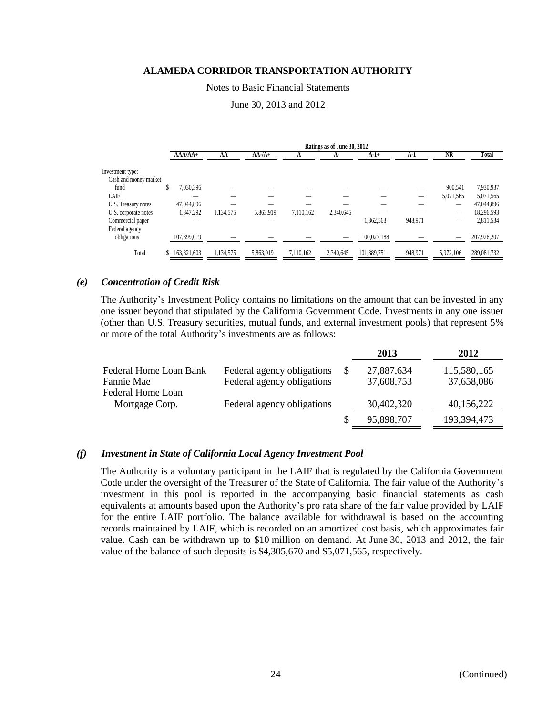Notes to Basic Financial Statements

June 30, 2013 and 2012

|                                           |   | Ratings as of June 30, 2012 |           |              |           |           |             |         |                 |             |
|-------------------------------------------|---|-----------------------------|-----------|--------------|-----------|-----------|-------------|---------|-----------------|-------------|
|                                           |   | $AA/AA+$                    | AA        | $AA$ - $/A+$ |           | А-        | $A-1+$      | A-1     | NR              | Total       |
| Investment type:<br>Cash and money market |   |                             |           |              |           |           |             |         |                 |             |
| fund                                      | Ф | 7,030,396                   |           |              |           |           |             |         | 900.541         | 7,930,937   |
| LAIF                                      |   |                             |           |              |           |           |             | –       | 5,071,565       | 5,071,565   |
| U.S. Treasury notes                       |   | 47,044,896                  |           |              |           |           |             |         | $\qquad \qquad$ | 47,044,896  |
| U.S. corporate notes                      |   | 1.847.292                   | 1,134,575 | 5,863,919    | 7,110,162 | 2,340,645 |             |         |                 | 18,296,593  |
| Commercial paper                          |   |                             |           |              |           |           | 1,862,563   | 948,971 | –               | 2,811,534   |
| Federal agency<br>obligations             |   | 107,899,019                 |           |              |           |           | 100,027,188 |         |                 | 207,926,207 |
| Total                                     |   | 163,821,603                 | 1,134,575 | 5,863,919    | 7,110,162 | 2,340,645 | 101,889,751 | 948,971 | 5,972,106       | 289,081,732 |

## *(e) Concentration of Credit Risk*

The Authority's Investment Policy contains no limitations on the amount that can be invested in any one issuer beyond that stipulated by the California Government Code. Investments in any one issuer (other than U.S. Treasury securities, mutual funds, and external investment pools) that represent 5% or more of the total Authority's investments are as follows:

|                        |                            |    | 2013       | 2012        |
|------------------------|----------------------------|----|------------|-------------|
| Federal Home Loan Bank | Federal agency obligations | S. | 27,887,634 | 115,580,165 |
| Fannie Mae             | Federal agency obligations |    | 37,608,753 | 37,658,086  |
| Federal Home Loan      |                            |    |            |             |
| Mortgage Corp.         | Federal agency obligations |    | 30,402,320 | 40,156,222  |
|                        |                            | S  | 95,898,707 | 193,394,473 |
|                        |                            |    |            |             |

### *(f) Investment in State of California Local Agency Investment Pool*

The Authority is a voluntary participant in the LAIF that is regulated by the California Government Code under the oversight of the Treasurer of the State of California. The fair value of the Authority's investment in this pool is reported in the accompanying basic financial statements as cash equivalents at amounts based upon the Authority's pro rata share of the fair value provided by LAIF for the entire LAIF portfolio. The balance available for withdrawal is based on the accounting records maintained by LAIF, which is recorded on an amortized cost basis, which approximates fair value. Cash can be withdrawn up to \$10 million on demand. At June 30, 2013 and 2012, the fair value of the balance of such deposits is \$4,305,670 and \$5,071,565, respectively.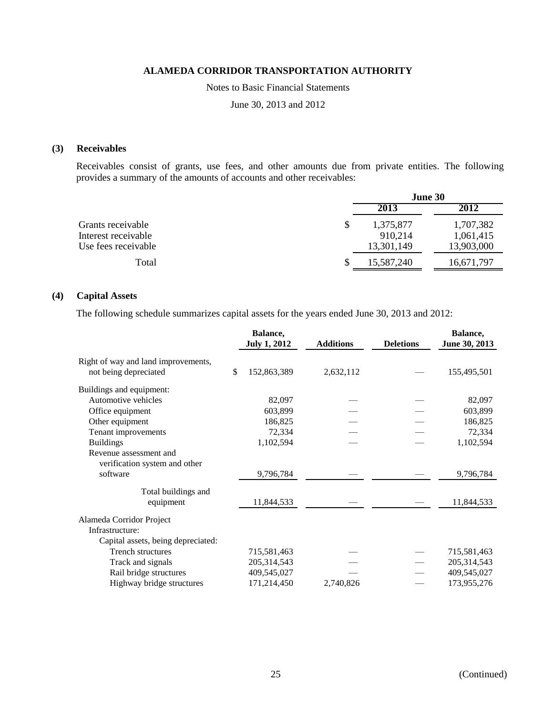Notes to Basic Financial Statements

June 30, 2013 and 2012

## **(3) Receivables**

Receivables consist of grants, use fees, and other amounts due from private entities. The following provides a summary of the amounts of accounts and other receivables:

|                     | June 30    |            |  |
|---------------------|------------|------------|--|
|                     | 2013       | 2012       |  |
| Grants receivable   | 1,375,877  | 1,707,382  |  |
| Interest receivable | 910,214    | 1,061,415  |  |
| Use fees receivable | 13,301,149 | 13,903,000 |  |
| Total               | 15,587,240 | 16,671,797 |  |

## **(4) Capital Assets**

The following schedule summarizes capital assets for the years ended June 30, 2013 and 2012:

|                                     | Balance,            |                  |                  | Balance,      |
|-------------------------------------|---------------------|------------------|------------------|---------------|
|                                     | <b>July 1, 2012</b> | <b>Additions</b> | <b>Deletions</b> | June 30, 2013 |
| Right of way and land improvements, |                     |                  |                  |               |
| not being depreciated               | \$<br>152,863,389   | 2,632,112        |                  | 155,495,501   |
| Buildings and equipment:            |                     |                  |                  |               |
| Automotive vehicles                 | 82,097              |                  |                  | 82,097        |
| Office equipment                    | 603,899             |                  |                  | 603,899       |
| Other equipment                     | 186,825             |                  |                  | 186,825       |
| Tenant improvements                 | 72,334              |                  |                  | 72,334        |
| <b>Buildings</b>                    | 1,102,594           |                  |                  | 1,102,594     |
| Revenue assessment and              |                     |                  |                  |               |
| verification system and other       |                     |                  |                  |               |
| software                            | 9,796,784           |                  |                  | 9,796,784     |
| Total buildings and                 |                     |                  |                  |               |
| equipment                           | 11,844,533          |                  |                  | 11,844,533    |
| Alameda Corridor Project            |                     |                  |                  |               |
| Infrastructure:                     |                     |                  |                  |               |
| Capital assets, being depreciated:  |                     |                  |                  |               |
| Trench structures                   | 715,581,463         |                  |                  | 715,581,463   |
| Track and signals                   | 205,314,543         |                  |                  | 205, 314, 543 |
| Rail bridge structures              | 409,545,027         |                  |                  | 409,545,027   |
| Highway bridge structures           | 171,214,450         | 2,740,826        |                  | 173,955,276   |
|                                     |                     |                  |                  |               |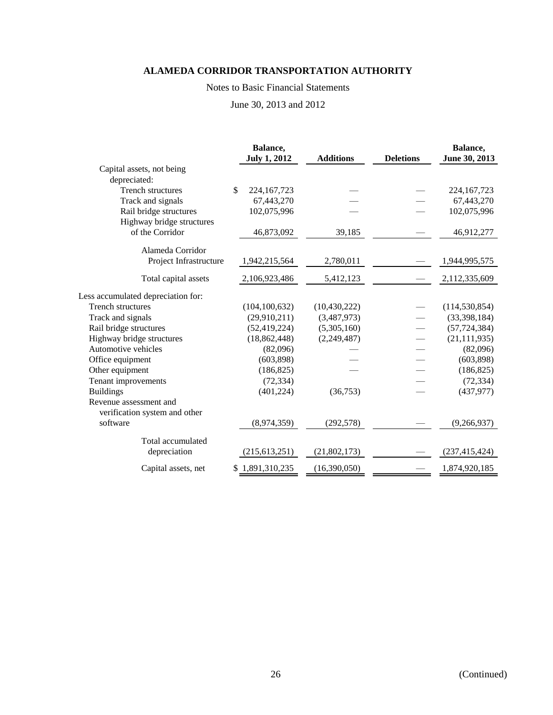## Notes to Basic Financial Statements

June 30, 2013 and 2012

|                                                         | Balance,<br><b>July 1, 2012</b> | <b>Additions</b> | <b>Deletions</b> | Balance,<br>June 30, 2013 |
|---------------------------------------------------------|---------------------------------|------------------|------------------|---------------------------|
| Capital assets, not being<br>depreciated:               |                                 |                  |                  |                           |
| Trench structures                                       | $\mathcal{S}$<br>224, 167, 723  |                  |                  | 224, 167, 723             |
| Track and signals                                       | 67,443,270                      |                  |                  | 67,443,270                |
| Rail bridge structures<br>Highway bridge structures     | 102,075,996                     |                  |                  | 102,075,996               |
| of the Corridor                                         | 46,873,092                      | 39,185           |                  | 46,912,277                |
| Alameda Corridor                                        |                                 |                  |                  |                           |
| Project Infrastructure                                  | 1,942,215,564                   | 2,780,011        |                  | 1,944,995,575             |
| Total capital assets                                    | 2,106,923,486                   | 5,412,123        |                  | 2,112,335,609             |
| Less accumulated depreciation for:                      |                                 |                  |                  |                           |
| Trench structures                                       | (104, 100, 632)                 | (10, 430, 222)   |                  | (114, 530, 854)           |
| Track and signals                                       | (29,910,211)                    | (3,487,973)      |                  | (33,398,184)              |
| Rail bridge structures                                  | (52, 419, 224)                  | (5,305,160)      |                  | (57, 724, 384)            |
| Highway bridge structures                               | (18, 862, 448)                  | (2,249,487)      |                  | (21, 111, 935)            |
| Automotive vehicles                                     | (82,096)                        |                  |                  | (82,096)                  |
| Office equipment                                        | (603, 898)                      |                  |                  | (603, 898)                |
| Other equipment                                         | (186, 825)                      |                  |                  | (186, 825)                |
| Tenant improvements                                     | (72, 334)                       |                  |                  | (72, 334)                 |
| <b>Buildings</b>                                        | (401, 224)                      | (36,753)         |                  | (437,977)                 |
| Revenue assessment and<br>verification system and other |                                 |                  |                  |                           |
| software                                                | (8,974,359)                     | (292, 578)       |                  | (9,266,937)               |
| Total accumulated                                       |                                 |                  |                  |                           |
| depreciation                                            | (215, 613, 251)                 | (21,802,173)     |                  | (237, 415, 424)           |
| Capital assets, net                                     | \$1,891,310,235                 | (16,390,050)     |                  | 1,874,920,185             |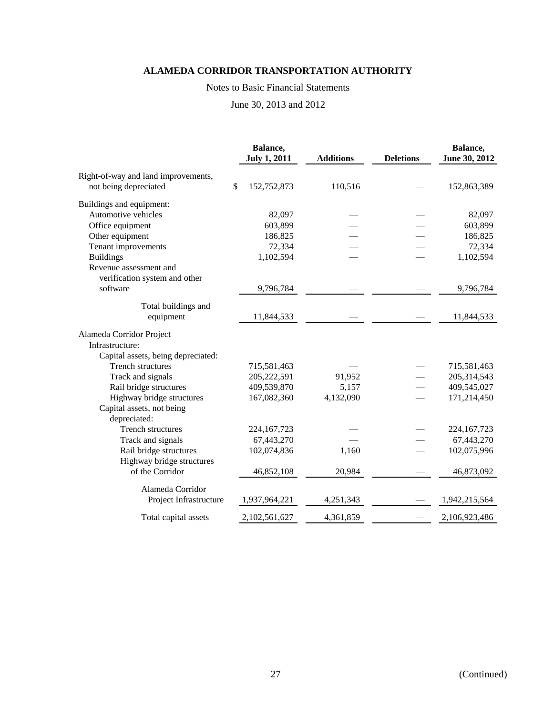## Notes to Basic Financial Statements

June 30, 2013 and 2012

|                                     | Balance,<br><b>July 1, 2011</b> | <b>Additions</b> | <b>Deletions</b> | Balance,<br>June 30, 2012 |
|-------------------------------------|---------------------------------|------------------|------------------|---------------------------|
| Right-of-way and land improvements, |                                 |                  |                  |                           |
| not being depreciated               | \$<br>152,752,873               | 110,516          |                  | 152,863,389               |
| Buildings and equipment:            |                                 |                  |                  |                           |
| Automotive vehicles                 | 82,097                          |                  |                  | 82,097                    |
| Office equipment                    | 603,899                         |                  |                  | 603,899                   |
| Other equipment                     | 186,825                         |                  |                  | 186,825                   |
| Tenant improvements                 | 72,334                          |                  |                  | 72,334                    |
| <b>Buildings</b>                    | 1,102,594                       |                  |                  | 1,102,594                 |
| Revenue assessment and              |                                 |                  |                  |                           |
| verification system and other       |                                 |                  |                  |                           |
| software                            | 9,796,784                       |                  |                  | 9,796,784                 |
| Total buildings and                 |                                 |                  |                  |                           |
| equipment                           | 11,844,533                      |                  |                  | 11,844,533                |
|                                     |                                 |                  |                  |                           |
| Alameda Corridor Project            |                                 |                  |                  |                           |
| Infrastructure:                     |                                 |                  |                  |                           |
| Capital assets, being depreciated:  |                                 |                  |                  |                           |
| <b>Trench structures</b>            | 715,581,463                     |                  |                  | 715,581,463               |
| Track and signals                   | 205,222,591                     | 91,952           |                  | 205,314,543               |
| Rail bridge structures              | 409,539,870                     | 5,157            |                  | 409,545,027               |
| Highway bridge structures           | 167,082,360                     | 4,132,090        |                  | 171,214,450               |
| Capital assets, not being           |                                 |                  |                  |                           |
| depreciated:                        |                                 |                  |                  |                           |
| <b>Trench structures</b>            | 224, 167, 723                   |                  |                  | 224, 167, 723             |
| Track and signals                   | 67,443,270                      |                  |                  | 67,443,270                |
| Rail bridge structures              | 102,074,836                     | 1,160            |                  | 102,075,996               |
| Highway bridge structures           |                                 |                  |                  |                           |
| of the Corridor                     | 46,852,108                      | 20,984           |                  | 46,873,092                |
| Alameda Corridor                    |                                 |                  |                  |                           |
| Project Infrastructure              | 1,937,964,221                   | 4,251,343        |                  | 1,942,215,564             |
| Total capital assets                | 2, 102, 561, 627                | 4,361,859        |                  | 2,106,923,486             |
|                                     |                                 |                  |                  |                           |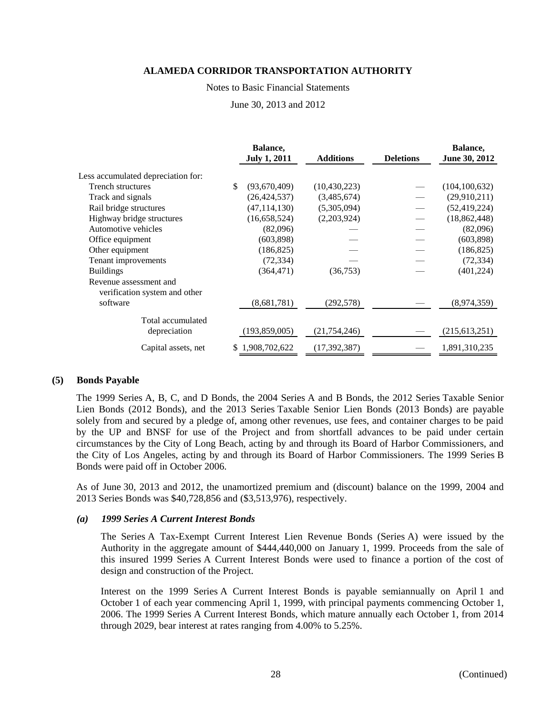#### Notes to Basic Financial Statements

June 30, 2013 and 2012

|                                                         | Balance,            |                  |                  | Balance,        |
|---------------------------------------------------------|---------------------|------------------|------------------|-----------------|
|                                                         | <b>July 1, 2011</b> | <b>Additions</b> | <b>Deletions</b> | June 30, 2012   |
| Less accumulated depreciation for:                      |                     |                  |                  |                 |
| <b>Trench structures</b>                                | \$<br>(93,670,409)  | (10, 430, 223)   |                  | (104, 100, 632) |
| Track and signals                                       | (26, 424, 537)      | (3,485,674)      |                  | (29,910,211)    |
| Rail bridge structures                                  | (47, 114, 130)      | (5,305,094)      |                  | (52, 419, 224)  |
| Highway bridge structures                               | (16, 658, 524)      | (2,203,924)      |                  | (18, 862, 448)  |
| Automotive vehicles                                     | (82,096)            |                  |                  | (82,096)        |
| Office equipment                                        | (603, 898)          |                  |                  | (603, 898)      |
| Other equipment                                         | (186, 825)          |                  |                  | (186, 825)      |
| Tenant improvements                                     | (72, 334)           |                  |                  | (72, 334)       |
| <b>Buildings</b>                                        | (364, 471)          | (36,753)         |                  | (401, 224)      |
| Revenue assessment and<br>verification system and other |                     |                  |                  |                 |
| software                                                | (8,681,781)         | (292, 578)       |                  | (8,974,359)     |
| Total accumulated                                       |                     |                  |                  |                 |
| depreciation                                            | (193,859,005)       | (21, 754, 246)   |                  | (215, 613, 251) |
| Capital assets, net                                     | \$1,908,702,622     | (17, 392, 387)   |                  | 1,891,310,235   |

#### **(5) Bonds Payable**

The 1999 Series A, B, C, and D Bonds, the 2004 Series A and B Bonds, the 2012 Series Taxable Senior Lien Bonds (2012 Bonds), and the 2013 Series Taxable Senior Lien Bonds (2013 Bonds) are payable solely from and secured by a pledge of, among other revenues, use fees, and container charges to be paid by the UP and BNSF for use of the Project and from shortfall advances to be paid under certain circumstances by the City of Long Beach, acting by and through its Board of Harbor Commissioners, and the City of Los Angeles, acting by and through its Board of Harbor Commissioners. The 1999 Series B Bonds were paid off in October 2006.

As of June 30, 2013 and 2012, the unamortized premium and (discount) balance on the 1999, 2004 and 2013 Series Bonds was \$40,728,856 and (\$3,513,976), respectively.

## *(a) 1999 Series A Current Interest Bonds*

The Series A Tax-Exempt Current Interest Lien Revenue Bonds (Series A) were issued by the Authority in the aggregate amount of \$444,440,000 on January 1, 1999. Proceeds from the sale of this insured 1999 Series A Current Interest Bonds were used to finance a portion of the cost of design and construction of the Project.

Interest on the 1999 Series A Current Interest Bonds is payable semiannually on April 1 and October 1 of each year commencing April 1, 1999, with principal payments commencing October 1, 2006. The 1999 Series A Current Interest Bonds, which mature annually each October 1, from 2014 through 2029, bear interest at rates ranging from 4.00% to 5.25%.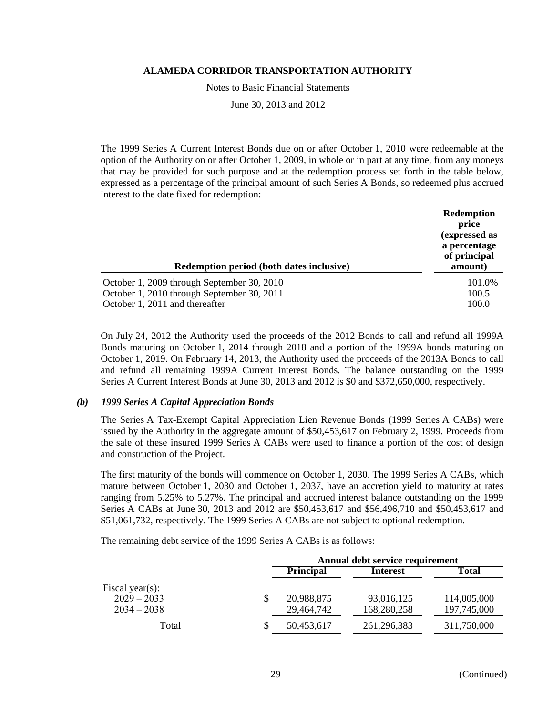Notes to Basic Financial Statements

June 30, 2013 and 2012

The 1999 Series A Current Interest Bonds due on or after October 1, 2010 were redeemable at the option of the Authority on or after October 1, 2009, in whole or in part at any time, from any moneys that may be provided for such purpose and at the redemption process set forth in the table below, expressed as a percentage of the principal amount of such Series A Bonds, so redeemed plus accrued interest to the date fixed for redemption:

| Redemption period (both dates inclusive)   | <b>Redemption</b><br>price<br>(expressed as<br>a percentage<br>of principal<br>amount) |
|--------------------------------------------|----------------------------------------------------------------------------------------|
| October 1, 2009 through September 30, 2010 | 101.0%                                                                                 |
| October 1, 2010 through September 30, 2011 | 100.5                                                                                  |
| October 1, 2011 and thereafter             | 100.0                                                                                  |

On July 24, 2012 the Authority used the proceeds of the 2012 Bonds to call and refund all 1999A Bonds maturing on October 1, 2014 through 2018 and a portion of the 1999A bonds maturing on October 1, 2019. On February 14, 2013, the Authority used the proceeds of the 2013A Bonds to call and refund all remaining 1999A Current Interest Bonds. The balance outstanding on the 1999 Series A Current Interest Bonds at June 30, 2013 and 2012 is \$0 and \$372,650,000, respectively.

#### *(b) 1999 Series A Capital Appreciation Bonds*

The Series A Tax-Exempt Capital Appreciation Lien Revenue Bonds (1999 Series A CABs) were issued by the Authority in the aggregate amount of \$50,453,617 on February 2, 1999. Proceeds from the sale of these insured 1999 Series A CABs were used to finance a portion of the cost of design and construction of the Project.

The first maturity of the bonds will commence on October 1, 2030. The 1999 Series A CABs, which mature between October 1, 2030 and October 1, 2037, have an accretion yield to maturity at rates ranging from 5.25% to 5.27%. The principal and accrued interest balance outstanding on the 1999 Series A CABs at June 30, 2013 and 2012 are \$50,453,617 and \$56,496,710 and \$50,453,617 and \$51,061,732, respectively. The 1999 Series A CABs are not subject to optional redemption.

The remaining debt service of the 1999 Series A CABs is as follows:

|                 | Annual debt service requirement |                 |              |  |
|-----------------|---------------------------------|-----------------|--------------|--|
|                 | <b>Principal</b>                | <b>Interest</b> | <b>Total</b> |  |
| Fiscal year(s): |                                 |                 |              |  |
| $2029 - 2033$   | 20,988,875                      | 93,016,125      | 114,005,000  |  |
| $2034 - 2038$   | 29,464,742                      | 168,280,258     | 197,745,000  |  |
| Total           | 50,453,617                      | 261, 296, 383   | 311,750,000  |  |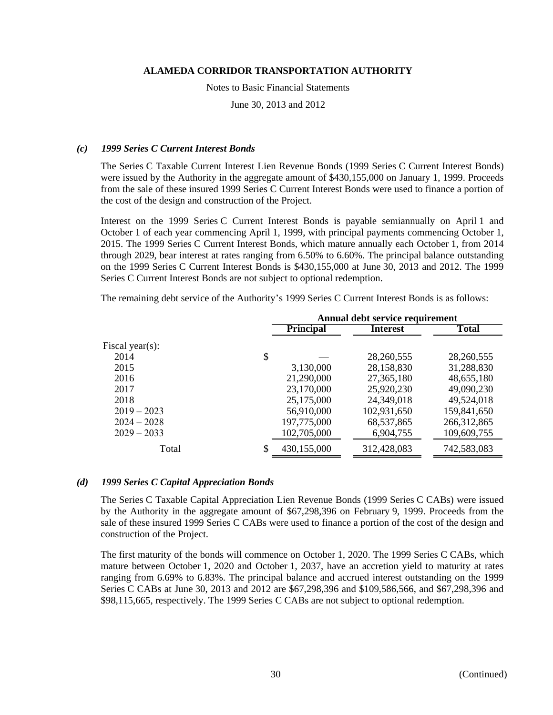Notes to Basic Financial Statements

June 30, 2013 and 2012

## *(c) 1999 Series C Current Interest Bonds*

The Series C Taxable Current Interest Lien Revenue Bonds (1999 Series C Current Interest Bonds) were issued by the Authority in the aggregate amount of \$430,155,000 on January 1, 1999. Proceeds from the sale of these insured 1999 Series C Current Interest Bonds were used to finance a portion of the cost of the design and construction of the Project.

Interest on the 1999 Series C Current Interest Bonds is payable semiannually on April 1 and October 1 of each year commencing April 1, 1999, with principal payments commencing October 1, 2015. The 1999 Series C Current Interest Bonds, which mature annually each October 1, from 2014 through 2029, bear interest at rates ranging from 6.50% to 6.60%. The principal balance outstanding on the 1999 Series C Current Interest Bonds is \$430,155,000 at June 30, 2013 and 2012. The 1999 Series C Current Interest Bonds are not subject to optional redemption.

The remaining debt service of the Authority's 1999 Series C Current Interest Bonds is as follows:

|                 | Annual debt service requirement |                 |              |  |
|-----------------|---------------------------------|-----------------|--------------|--|
|                 | <b>Principal</b>                | <b>Interest</b> | <b>Total</b> |  |
| Fiscal year(s): |                                 |                 |              |  |
| 2014            | \$                              | 28,260,555      | 28,260,555   |  |
| 2015            | 3,130,000                       | 28,158,830      | 31,288,830   |  |
| 2016            | 21,290,000                      | 27,365,180      | 48,655,180   |  |
| 2017            | 23,170,000                      | 25,920,230      | 49,090,230   |  |
| 2018            | 25,175,000                      | 24,349,018      | 49,524,018   |  |
| $2019 - 2023$   | 56,910,000                      | 102,931,650     | 159,841,650  |  |
| $2024 - 2028$   | 197,775,000                     | 68,537,865      | 266,312,865  |  |
| $2029 - 2033$   | 102,705,000                     | 6,904,755       | 109,609,755  |  |
| Total           | \$<br>430,155,000               | 312,428,083     | 742,583,083  |  |

## *(d) 1999 Series C Capital Appreciation Bonds*

The Series C Taxable Capital Appreciation Lien Revenue Bonds (1999 Series C CABs) were issued by the Authority in the aggregate amount of \$67,298,396 on February 9, 1999. Proceeds from the sale of these insured 1999 Series C CABs were used to finance a portion of the cost of the design and construction of the Project.

The first maturity of the bonds will commence on October 1, 2020. The 1999 Series C CABs, which mature between October 1, 2020 and October 1, 2037, have an accretion yield to maturity at rates ranging from 6.69% to 6.83%. The principal balance and accrued interest outstanding on the 1999 Series C CABs at June 30, 2013 and 2012 are \$67,298,396 and \$109,586,566, and \$67,298,396 and \$98,115,665, respectively. The 1999 Series C CABs are not subject to optional redemption.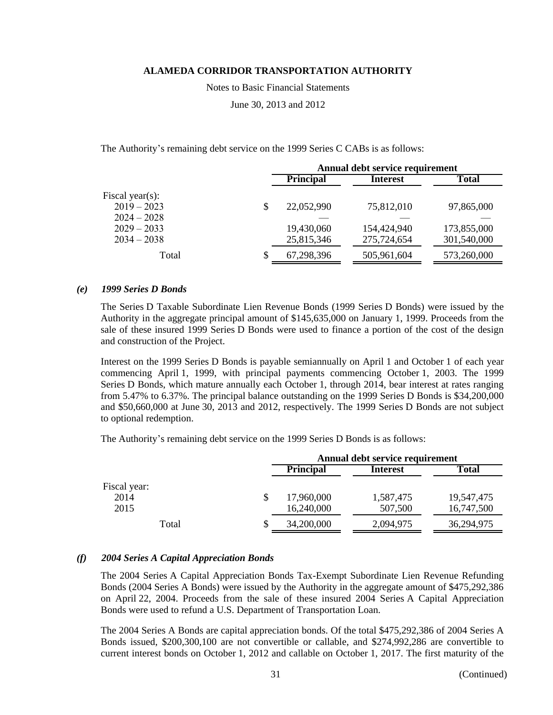Notes to Basic Financial Statements

June 30, 2013 and 2012

The Authority's remaining debt service on the 1999 Series C CABs is as follows:

|                 | Annual debt service requirement |                 |              |  |
|-----------------|---------------------------------|-----------------|--------------|--|
|                 | <b>Principal</b>                | <b>Interest</b> | <b>Total</b> |  |
| Fiscal year(s): |                                 |                 |              |  |
| $2019 - 2023$   | \$<br>22,052,990                | 75,812,010      | 97,865,000   |  |
| $2024 - 2028$   |                                 |                 |              |  |
| $2029 - 2033$   | 19,430,060                      | 154,424,940     | 173,855,000  |  |
| $2034 - 2038$   | 25,815,346                      | 275,724,654     | 301,540,000  |  |
| Total           | \$<br>67,298,396                | 505,961,604     | 573,260,000  |  |

## *(e) 1999 Series D Bonds*

The Series D Taxable Subordinate Lien Revenue Bonds (1999 Series D Bonds) were issued by the Authority in the aggregate principal amount of \$145,635,000 on January 1, 1999. Proceeds from the sale of these insured 1999 Series D Bonds were used to finance a portion of the cost of the design and construction of the Project.

Interest on the 1999 Series D Bonds is payable semiannually on April 1 and October 1 of each year commencing April 1, 1999, with principal payments commencing October 1, 2003. The 1999 Series D Bonds, which mature annually each October 1, through 2014, bear interest at rates ranging from 5.47% to 6.37%. The principal balance outstanding on the 1999 Series D Bonds is \$34,200,000 and \$50,660,000 at June 30, 2013 and 2012, respectively. The 1999 Series D Bonds are not subject to optional redemption.

The Authority's remaining debt service on the 1999 Series D Bonds is as follows:

|              | Annual debt service requirement |           |              |  |
|--------------|---------------------------------|-----------|--------------|--|
|              | <b>Principal</b>                | Interest  | <b>Total</b> |  |
| Fiscal year: |                                 |           |              |  |
| 2014         | \$<br>17,960,000                | 1,587,475 | 19,547,475   |  |
| 2015         | 16,240,000                      | 507,500   | 16,747,500   |  |
| Total        | \$<br>34,200,000                | 2,094,975 | 36,294,975   |  |

## *(f) 2004 Series A Capital Appreciation Bonds*

The 2004 Series A Capital Appreciation Bonds Tax-Exempt Subordinate Lien Revenue Refunding Bonds (2004 Series A Bonds) were issued by the Authority in the aggregate amount of \$475,292,386 on April 22, 2004. Proceeds from the sale of these insured 2004 Series A Capital Appreciation Bonds were used to refund a U.S. Department of Transportation Loan.

The 2004 Series A Bonds are capital appreciation bonds. Of the total \$475,292,386 of 2004 Series A Bonds issued, \$200,300,100 are not convertible or callable, and \$274,992,286 are convertible to current interest bonds on October 1, 2012 and callable on October 1, 2017. The first maturity of the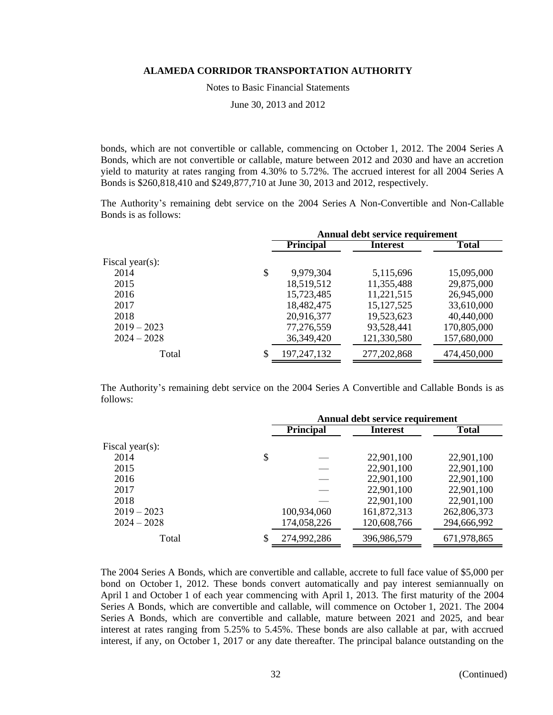Notes to Basic Financial Statements

June 30, 2013 and 2012

bonds, which are not convertible or callable, commencing on October 1, 2012. The 2004 Series A Bonds, which are not convertible or callable, mature between 2012 and 2030 and have an accretion yield to maturity at rates ranging from 4.30% to 5.72%. The accrued interest for all 2004 Series A Bonds is \$260,818,410 and \$249,877,710 at June 30, 2013 and 2012, respectively.

The Authority's remaining debt service on the 2004 Series A Non-Convertible and Non-Callable Bonds is as follows:

| Annual debt service requirement                     |               |             |  |  |  |
|-----------------------------------------------------|---------------|-------------|--|--|--|
| <b>Principal</b><br><b>Interest</b><br><b>Total</b> |               |             |  |  |  |
|                                                     |               |             |  |  |  |
| \$<br>9,979,304                                     | 5,115,696     | 15,095,000  |  |  |  |
| 18,519,512                                          | 11,355,488    | 29,875,000  |  |  |  |
| 15,723,485                                          | 11,221,515    | 26,945,000  |  |  |  |
| 18,482,475                                          | 15, 127, 525  | 33,610,000  |  |  |  |
| 20,916,377                                          | 19,523,623    | 40,440,000  |  |  |  |
| 77,276,559                                          | 93,528,441    | 170,805,000 |  |  |  |
| 36,349,420                                          | 121,330,580   | 157,680,000 |  |  |  |
| \$<br>197, 247, 132                                 | 277, 202, 868 | 474,450,000 |  |  |  |
|                                                     |               |             |  |  |  |

The Authority's remaining debt service on the 2004 Series A Convertible and Callable Bonds is as follows:

|                 | Annual debt service requirement |              |             |  |
|-----------------|---------------------------------|--------------|-------------|--|
|                 | <b>Principal</b>                | <b>Total</b> |             |  |
| Fiscal year(s): |                                 |              |             |  |
| 2014            | \$                              | 22,901,100   | 22,901,100  |  |
| 2015            |                                 | 22,901,100   | 22,901,100  |  |
| 2016            |                                 | 22,901,100   | 22,901,100  |  |
| 2017            |                                 | 22,901,100   | 22,901,100  |  |
| 2018            |                                 | 22,901,100   | 22,901,100  |  |
| $2019 - 2023$   | 100,934,060                     | 161,872,313  | 262,806,373 |  |
| $2024 - 2028$   | 174,058,226                     | 120,608,766  | 294,666,992 |  |
| Total           | \$<br>274,992,286               | 396,986,579  | 671,978,865 |  |

The 2004 Series A Bonds, which are convertible and callable, accrete to full face value of \$5,000 per bond on October 1, 2012. These bonds convert automatically and pay interest semiannually on April 1 and October 1 of each year commencing with April 1, 2013. The first maturity of the 2004 Series A Bonds, which are convertible and callable, will commence on October 1, 2021. The 2004 Series A Bonds, which are convertible and callable, mature between 2021 and 2025, and bear interest at rates ranging from 5.25% to 5.45%. These bonds are also callable at par, with accrued interest, if any, on October 1, 2017 or any date thereafter. The principal balance outstanding on the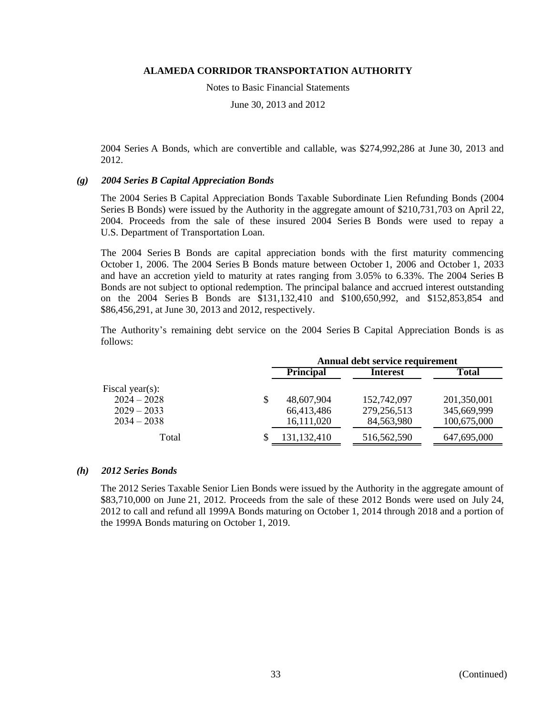Notes to Basic Financial Statements

June 30, 2013 and 2012

2004 Series A Bonds, which are convertible and callable, was \$274,992,286 at June 30, 2013 and 2012.

## *(g) 2004 Series B Capital Appreciation Bonds*

The 2004 Series B Capital Appreciation Bonds Taxable Subordinate Lien Refunding Bonds (2004 Series B Bonds) were issued by the Authority in the aggregate amount of \$210,731,703 on April 22, 2004. Proceeds from the sale of these insured 2004 Series B Bonds were used to repay a U.S. Department of Transportation Loan.

The 2004 Series B Bonds are capital appreciation bonds with the first maturity commencing October 1, 2006. The 2004 Series B Bonds mature between October 1, 2006 and October 1, 2033 and have an accretion yield to maturity at rates ranging from 3.05% to 6.33%. The 2004 Series B Bonds are not subject to optional redemption. The principal balance and accrued interest outstanding on the 2004 Series B Bonds are \$131,132,410 and \$100,650,992, and \$152,853,854 and \$86,456,291, at June 30, 2013 and 2012, respectively.

The Authority's remaining debt service on the 2004 Series B Capital Appreciation Bonds is as follows:

|                 |    | Annual debt service requirement |                 |              |  |
|-----------------|----|---------------------------------|-----------------|--------------|--|
|                 |    | <b>Principal</b>                | <b>Interest</b> | <b>Total</b> |  |
| Fiscal year(s): |    |                                 |                 |              |  |
| $2024 - 2028$   | \$ | 48,607,904                      | 152,742,097     | 201,350,001  |  |
| $2029 - 2033$   |    | 66,413,486                      | 279,256,513     | 345,669,999  |  |
| $2034 - 2038$   |    | 16,111,020                      | 84,563,980      | 100,675,000  |  |
| Total           | S  | 131,132,410                     | 516, 562, 590   | 647,695,000  |  |

## *(h) 2012 Series Bonds*

The 2012 Series Taxable Senior Lien Bonds were issued by the Authority in the aggregate amount of \$83,710,000 on June 21, 2012. Proceeds from the sale of these 2012 Bonds were used on July 24, 2012 to call and refund all 1999A Bonds maturing on October 1, 2014 through 2018 and a portion of the 1999A Bonds maturing on October 1, 2019.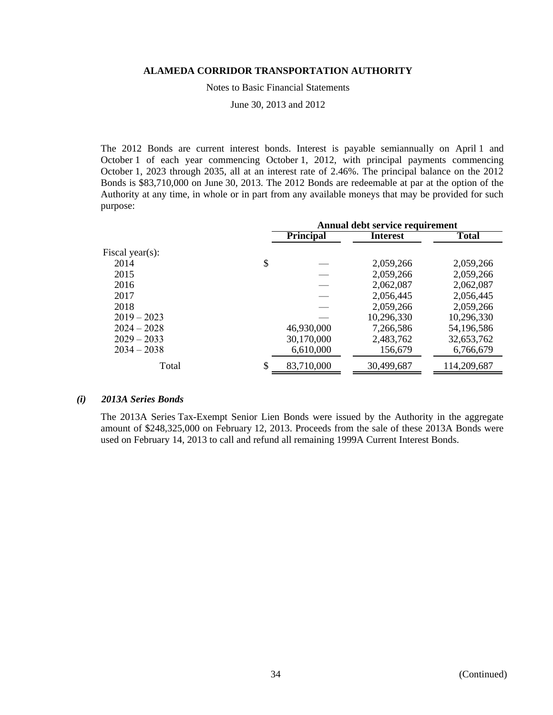Notes to Basic Financial Statements

June 30, 2013 and 2012

The 2012 Bonds are current interest bonds. Interest is payable semiannually on April 1 and October 1 of each year commencing October 1, 2012, with principal payments commencing October 1, 2023 through 2035, all at an interest rate of 2.46%. The principal balance on the 2012 Bonds is \$83,710,000 on June 30, 2013. The 2012 Bonds are redeemable at par at the option of the Authority at any time, in whole or in part from any available moneys that may be provided for such purpose:

|                 | Annual debt service requirement |            |                 |             |  |
|-----------------|---------------------------------|------------|-----------------|-------------|--|
|                 | <b>Principal</b>                |            | <b>Interest</b> | Total       |  |
| Fiscal year(s): |                                 |            |                 |             |  |
| 2014            | \$                              |            | 2,059,266       | 2,059,266   |  |
| 2015            |                                 |            | 2,059,266       | 2,059,266   |  |
| 2016            |                                 |            | 2,062,087       | 2,062,087   |  |
| 2017            |                                 |            | 2,056,445       | 2,056,445   |  |
| 2018            |                                 |            | 2,059,266       | 2,059,266   |  |
| $2019 - 2023$   |                                 |            | 10,296,330      | 10,296,330  |  |
| $2024 - 2028$   |                                 | 46,930,000 | 7,266,586       | 54,196,586  |  |
| $2029 - 2033$   |                                 | 30,170,000 | 2,483,762       | 32,653,762  |  |
| $2034 - 2038$   |                                 | 6,610,000  | 156,679         | 6,766,679   |  |
| Total           | \$                              | 83,710,000 | 30,499,687      | 114,209,687 |  |

#### *(i) 2013A Series Bonds*

The 2013A Series Tax-Exempt Senior Lien Bonds were issued by the Authority in the aggregate amount of \$248,325,000 on February 12, 2013. Proceeds from the sale of these 2013A Bonds were used on February 14, 2013 to call and refund all remaining 1999A Current Interest Bonds.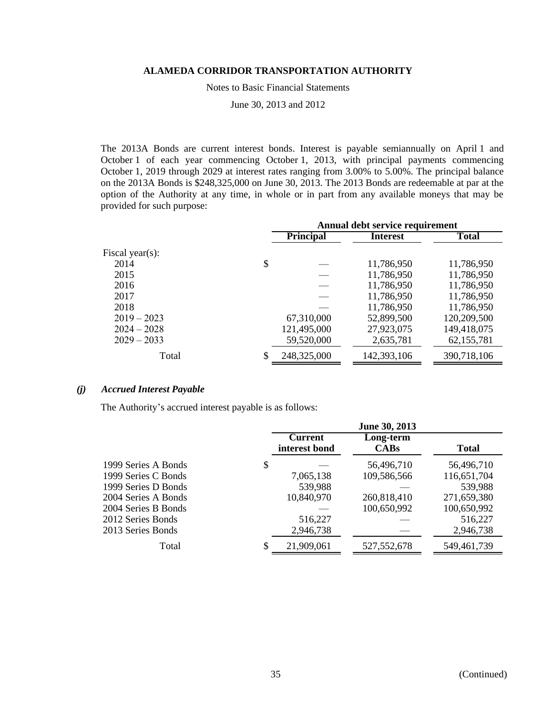Notes to Basic Financial Statements

June 30, 2013 and 2012

The 2013A Bonds are current interest bonds. Interest is payable semiannually on April 1 and October 1 of each year commencing October 1, 2013, with principal payments commencing October 1, 2019 through 2029 at interest rates ranging from 3.00% to 5.00%. The principal balance on the 2013A Bonds is \$248,325,000 on June 30, 2013. The 2013 Bonds are redeemable at par at the option of the Authority at any time, in whole or in part from any available moneys that may be provided for such purpose:

|                 | Annual debt service requirement |              |             |  |  |
|-----------------|---------------------------------|--------------|-------------|--|--|
|                 | <b>Principal</b>                | <b>Total</b> |             |  |  |
| Fiscal year(s): |                                 |              |             |  |  |
| 2014            | \$                              | 11,786,950   | 11,786,950  |  |  |
| 2015            |                                 | 11,786,950   | 11,786,950  |  |  |
| 2016            |                                 | 11,786,950   | 11,786,950  |  |  |
| 2017            |                                 | 11,786,950   | 11,786,950  |  |  |
| 2018            |                                 | 11,786,950   | 11,786,950  |  |  |
| $2019 - 2023$   | 67,310,000                      | 52,899,500   | 120,209,500 |  |  |
| $2024 - 2028$   | 121,495,000                     | 27,923,075   | 149,418,075 |  |  |
| $2029 - 2033$   | 59,520,000                      | 2,635,781    | 62,155,781  |  |  |
| Total           | \$<br>248,325,000               | 142,393,106  | 390,718,106 |  |  |
|                 |                                 |              |             |  |  |

## *(j) Accrued Interest Payable*

The Authority's accrued interest payable is as follows:

|                           | June 30, 2013                   |                          |              |  |
|---------------------------|---------------------------------|--------------------------|--------------|--|
|                           | <b>Current</b><br>interest bond | Long-term<br><b>CABs</b> | <b>Total</b> |  |
| 1999 Series A Bonds<br>\$ |                                 | 56,496,710               | 56,496,710   |  |
| 1999 Series C Bonds       | 7,065,138                       | 109,586,566              | 116,651,704  |  |
| 1999 Series D Bonds       | 539,988                         |                          | 539,988      |  |
| 2004 Series A Bonds       | 10,840,970                      | 260,818,410              | 271,659,380  |  |
| 2004 Series B Bonds       |                                 | 100,650,992              | 100,650,992  |  |
| 2012 Series Bonds         | 516,227                         |                          | 516,227      |  |
| 2013 Series Bonds         | 2,946,738                       |                          | 2,946,738    |  |
| \$<br>Total               | 21,909,061                      | 527, 552, 678            | 549,461,739  |  |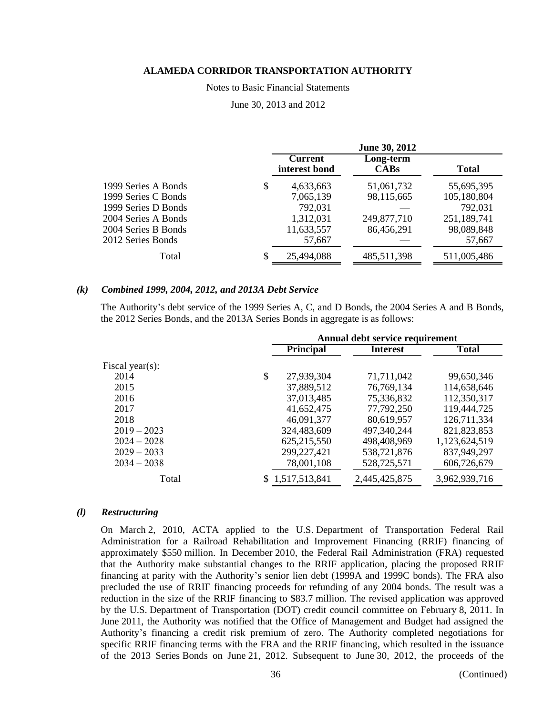Notes to Basic Financial Statements

June 30, 2013 and 2012

|                     |    | June 30, 2012                   |                          |              |  |
|---------------------|----|---------------------------------|--------------------------|--------------|--|
|                     |    | <b>Current</b><br>interest bond | Long-term<br><b>CABs</b> | <b>Total</b> |  |
| 1999 Series A Bonds | \$ | 4,633,663                       | 51,061,732               | 55,695,395   |  |
| 1999 Series C Bonds |    | 7,065,139                       | 98,115,665               | 105,180,804  |  |
| 1999 Series D Bonds |    | 792,031                         |                          | 792,031      |  |
| 2004 Series A Bonds |    | 1,312,031                       | 249,877,710              | 251,189,741  |  |
| 2004 Series B Bonds |    | 11,633,557                      | 86,456,291               | 98,089,848   |  |
| 2012 Series Bonds   |    | 57,667                          |                          | 57,667       |  |
| Total               | S  | 25,494,088                      | 485,511,398              | 511,005,486  |  |

#### *(k) Combined 1999, 2004, 2012, and 2013A Debt Service*

The Authority's debt service of the 1999 Series A, C, and D Bonds, the 2004 Series A and B Bonds, the 2012 Series Bonds, and the 2013A Series Bonds in aggregate is as follows:

|                 |     | Annual debt service requirement |                 |               |  |
|-----------------|-----|---------------------------------|-----------------|---------------|--|
|                 |     | <b>Principal</b>                | <b>Interest</b> | <b>Total</b>  |  |
| Fiscal year(s): |     |                                 |                 |               |  |
| 2014            | \$  | 27,939,304                      | 71,711,042      | 99,650,346    |  |
| 2015            |     | 37,889,512                      | 76,769,134      | 114,658,646   |  |
| 2016            |     | 37,013,485                      | 75,336,832      | 112,350,317   |  |
| 2017            |     | 41,652,475                      | 77,792,250      | 119,444,725   |  |
| 2018            |     | 46,091,377                      | 80,619,957      | 126,711,334   |  |
| $2019 - 2023$   |     | 324,483,609                     | 497,340,244     | 821, 823, 853 |  |
| $2024 - 2028$   |     | 625, 215, 550                   | 498,408,969     | 1,123,624,519 |  |
| $2029 - 2033$   |     | 299, 227, 421                   | 538,721,876     | 837,949,297   |  |
| $2034 - 2038$   |     | 78,001,108                      | 528,725,571     | 606,726,679   |  |
| Total           | \$. | 1,517,513,841                   | 2,445,425,875   | 3,962,939,716 |  |
|                 |     |                                 |                 |               |  |

### *(l) Restructuring*

On March 2, 2010, ACTA applied to the U.S. Department of Transportation Federal Rail Administration for a Railroad Rehabilitation and Improvement Financing (RRIF) financing of approximately \$550 million. In December 2010, the Federal Rail Administration (FRA) requested that the Authority make substantial changes to the RRIF application, placing the proposed RRIF financing at parity with the Authority's senior lien debt (1999A and 1999C bonds). The FRA also precluded the use of RRIF financing proceeds for refunding of any 2004 bonds. The result was a reduction in the size of the RRIF financing to \$83.7 million. The revised application was approved by the U.S. Department of Transportation (DOT) credit council committee on February 8, 2011. In June 2011, the Authority was notified that the Office of Management and Budget had assigned the Authority's financing a credit risk premium of zero. The Authority completed negotiations for specific RRIF financing terms with the FRA and the RRIF financing, which resulted in the issuance of the 2013 Series Bonds on June 21, 2012. Subsequent to June 30, 2012, the proceeds of the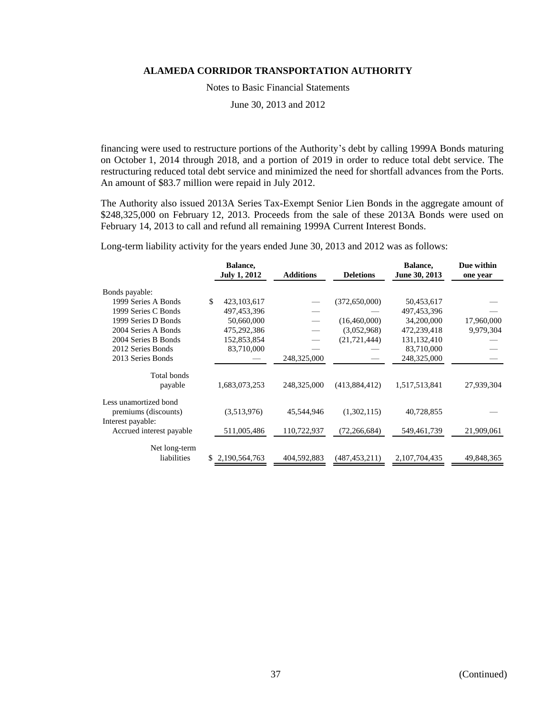Notes to Basic Financial Statements

June 30, 2013 and 2012

financing were used to restructure portions of the Authority's debt by calling 1999A Bonds maturing on October 1, 2014 through 2018, and a portion of 2019 in order to reduce total debt service. The restructuring reduced total debt service and minimized the need for shortfall advances from the Ports. An amount of \$83.7 million were repaid in July 2012.

The Authority also issued 2013A Series Tax-Exempt Senior Lien Bonds in the aggregate amount of \$248,325,000 on February 12, 2013. Proceeds from the sale of these 2013A Bonds were used on February 14, 2013 to call and refund all remaining 1999A Current Interest Bonds.

Long-term liability activity for the years ended June 30, 2013 and 2012 was as follows:

|                          | Balance,<br><b>July 1, 2012</b> | <b>Additions</b> | <b>Deletions</b> | Balance,<br>June 30, 2013 | Due within<br>one year |
|--------------------------|---------------------------------|------------------|------------------|---------------------------|------------------------|
|                          |                                 |                  |                  |                           |                        |
| Bonds payable:           |                                 |                  |                  |                           |                        |
| 1999 Series A Bonds      | \$<br>423,103,617               |                  | (372, 650, 000)  | 50,453,617                |                        |
| 1999 Series C Bonds      | 497,453,396                     |                  |                  | 497,453,396               |                        |
| 1999 Series D Bonds      | 50,660,000                      |                  | (16,460,000)     | 34,200,000                | 17,960,000             |
| 2004 Series A Bonds      | 475,292,386                     |                  | (3,052,968)      | 472,239,418               | 9,979,304              |
| 2004 Series B Bonds      | 152,853,854                     |                  | (21, 721, 444)   | 131, 132, 410             |                        |
| 2012 Series Bonds        | 83,710,000                      |                  |                  | 83,710,000                |                        |
| 2013 Series Bonds        |                                 | 248,325,000      |                  | 248,325,000               |                        |
| Total bonds              |                                 |                  |                  |                           |                        |
|                          |                                 |                  |                  |                           |                        |
| payable                  | 1,683,073,253                   | 248,325,000      | (413,884,412)    | 1,517,513,841             | 27,939,304             |
| Less unamortized bond    |                                 |                  |                  |                           |                        |
| premiums (discounts)     | (3,513,976)                     | 45,544,946       | (1,302,115)      | 40,728,855                |                        |
| Interest payable:        |                                 |                  |                  |                           |                        |
| Accrued interest payable | 511,005,486                     | 110,722,937      | (72, 266, 684)   | 549,461,739               | 21,909,061             |
|                          |                                 |                  |                  |                           |                        |
| Net long-term            |                                 |                  |                  |                           |                        |
| liabilities              | \$2,190,564,763                 | 404,592,883      | (487, 453, 211)  | 2,107,704,435             | 49,848,365             |
|                          |                                 |                  |                  |                           |                        |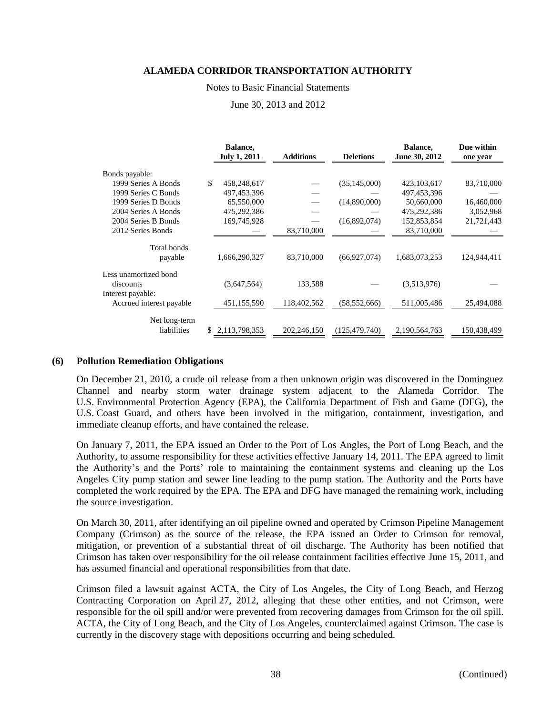#### Notes to Basic Financial Statements

June 30, 2013 and 2012

|                          | Balance,<br><b>July 1, 2011</b> | <b>Additions</b> | <b>Deletions</b> | Balance,<br>June 30, 2012 | Due within<br>one year |
|--------------------------|---------------------------------|------------------|------------------|---------------------------|------------------------|
| Bonds payable:           |                                 |                  |                  |                           |                        |
| 1999 Series A Bonds      | \$<br>458,248,617               |                  | (35, 145, 000)   | 423,103,617               | 83,710,000             |
| 1999 Series C Bonds      | 497,453,396                     |                  |                  | 497,453,396               |                        |
| 1999 Series D Bonds      | 65,550,000                      |                  | (14,890,000)     | 50,660,000                | 16,460,000             |
| 2004 Series A Bonds      | 475,292,386                     |                  |                  | 475,292,386               | 3,052,968              |
| 2004 Series B Bonds      | 169,745,928                     |                  | (16,892,074)     | 152,853,854               | 21,721,443             |
| 2012 Series Bonds        |                                 | 83,710,000       |                  | 83,710,000                |                        |
| Total bonds              |                                 |                  |                  |                           |                        |
| payable                  | 1,666,290,327                   | 83,710,000       | (66, 927, 074)   | 1,683,073,253             | 124,944,411            |
| Less unamortized bond    |                                 |                  |                  |                           |                        |
| discounts                | (3,647,564)                     | 133,588          |                  | (3,513,976)               |                        |
| Interest payable:        |                                 |                  |                  |                           |                        |
| Accrued interest payable | 451,155,590                     | 118,402,562      | (58, 552, 666)   | 511,005,486               | 25,494,088             |
| Net long-term            |                                 |                  |                  |                           |                        |
| liabilities              | 2,113,798,353<br>S.             | 202,246,150      | (125, 479, 740)  | 2,190,564,763             | 150,438,499            |

#### **(6) Pollution Remediation Obligations**

On December 21, 2010, a crude oil release from a then unknown origin was discovered in the Dominguez Channel and nearby storm water drainage system adjacent to the Alameda Corridor. The U.S. Environmental Protection Agency (EPA), the California Department of Fish and Game (DFG), the U.S. Coast Guard, and others have been involved in the mitigation, containment, investigation, and immediate cleanup efforts, and have contained the release.

On January 7, 2011, the EPA issued an Order to the Port of Los Angles, the Port of Long Beach, and the Authority, to assume responsibility for these activities effective January 14, 2011. The EPA agreed to limit the Authority's and the Ports' role to maintaining the containment systems and cleaning up the Los Angeles City pump station and sewer line leading to the pump station. The Authority and the Ports have completed the work required by the EPA. The EPA and DFG have managed the remaining work, including the source investigation.

On March 30, 2011, after identifying an oil pipeline owned and operated by Crimson Pipeline Management Company (Crimson) as the source of the release, the EPA issued an Order to Crimson for removal, mitigation, or prevention of a substantial threat of oil discharge. The Authority has been notified that Crimson has taken over responsibility for the oil release containment facilities effective June 15, 2011, and has assumed financial and operational responsibilities from that date.

Crimson filed a lawsuit against ACTA, the City of Los Angeles, the City of Long Beach, and Herzog Contracting Corporation on April 27, 2012, alleging that these other entities, and not Crimson, were responsible for the oil spill and/or were prevented from recovering damages from Crimson for the oil spill. ACTA, the City of Long Beach, and the City of Los Angeles, counterclaimed against Crimson. The case is currently in the discovery stage with depositions occurring and being scheduled.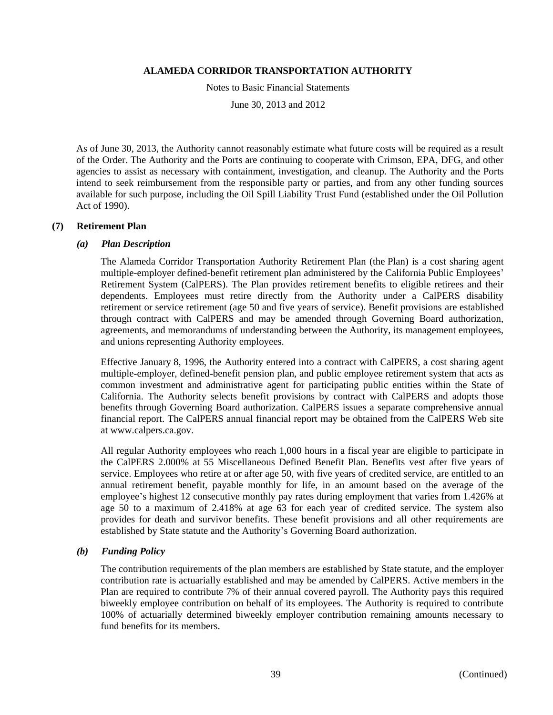Notes to Basic Financial Statements

June 30, 2013 and 2012

As of June 30, 2013, the Authority cannot reasonably estimate what future costs will be required as a result of the Order. The Authority and the Ports are continuing to cooperate with Crimson, EPA, DFG, and other agencies to assist as necessary with containment, investigation, and cleanup. The Authority and the Ports intend to seek reimbursement from the responsible party or parties, and from any other funding sources available for such purpose, including the Oil Spill Liability Trust Fund (established under the Oil Pollution Act of 1990).

## **(7) Retirement Plan**

## *(a) Plan Description*

The Alameda Corridor Transportation Authority Retirement Plan (the Plan) is a cost sharing agent multiple-employer defined-benefit retirement plan administered by the California Public Employees' Retirement System (CalPERS). The Plan provides retirement benefits to eligible retirees and their dependents. Employees must retire directly from the Authority under a CalPERS disability retirement or service retirement (age 50 and five years of service). Benefit provisions are established through contract with CalPERS and may be amended through Governing Board authorization, agreements, and memorandums of understanding between the Authority, its management employees, and unions representing Authority employees.

Effective January 8, 1996, the Authority entered into a contract with CalPERS, a cost sharing agent multiple-employer, defined-benefit pension plan, and public employee retirement system that acts as common investment and administrative agent for participating public entities within the State of California. The Authority selects benefit provisions by contract with CalPERS and adopts those benefits through Governing Board authorization. CalPERS issues a separate comprehensive annual financial report. The CalPERS annual financial report may be obtained from the CalPERS Web site at www.calpers.ca.gov.

All regular Authority employees who reach 1,000 hours in a fiscal year are eligible to participate in the CalPERS 2.000% at 55 Miscellaneous Defined Benefit Plan. Benefits vest after five years of service. Employees who retire at or after age 50, with five years of credited service, are entitled to an annual retirement benefit, payable monthly for life, in an amount based on the average of the employee's highest 12 consecutive monthly pay rates during employment that varies from 1.426% at age 50 to a maximum of 2.418% at age 63 for each year of credited service. The system also provides for death and survivor benefits. These benefit provisions and all other requirements are established by State statute and the Authority's Governing Board authorization.

## *(b) Funding Policy*

The contribution requirements of the plan members are established by State statute, and the employer contribution rate is actuarially established and may be amended by CalPERS. Active members in the Plan are required to contribute 7% of their annual covered payroll. The Authority pays this required biweekly employee contribution on behalf of its employees. The Authority is required to contribute 100% of actuarially determined biweekly employer contribution remaining amounts necessary to fund benefits for its members.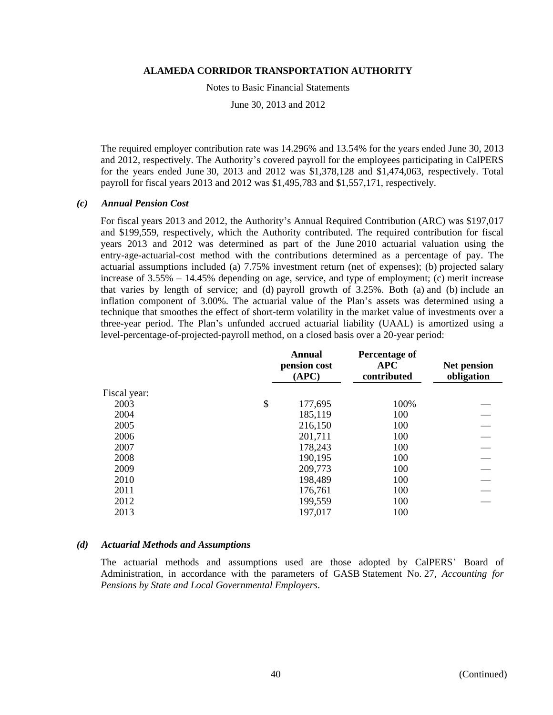Notes to Basic Financial Statements

June 30, 2013 and 2012

The required employer contribution rate was 14.296% and 13.54% for the years ended June 30, 2013 and 2012, respectively. The Authority's covered payroll for the employees participating in CalPERS for the years ended June 30, 2013 and 2012 was \$1,378,128 and \$1,474,063, respectively. Total payroll for fiscal years 2013 and 2012 was \$1,495,783 and \$1,557,171, respectively.

## *(c) Annual Pension Cost*

For fiscal years 2013 and 2012, the Authority's Annual Required Contribution (ARC) was \$197,017 and \$199,559, respectively, which the Authority contributed. The required contribution for fiscal years 2013 and 2012 was determined as part of the June 2010 actuarial valuation using the entry-age-actuarial-cost method with the contributions determined as a percentage of pay. The actuarial assumptions included (a) 7.75% investment return (net of expenses); (b) projected salary increase of 3.55% – 14.45% depending on age, service, and type of employment; (c) merit increase that varies by length of service; and (d) payroll growth of 3.25%. Both (a) and (b) include an inflation component of 3.00%. The actuarial value of the Plan's assets was determined using a technique that smoothes the effect of short-term volatility in the market value of investments over a three-year period. The Plan's unfunded accrued actuarial liability (UAAL) is amortized using a level-percentage-of-projected-payroll method, on a closed basis over a 20-year period:

|              | <b>Annual</b><br>pension cost<br>(APC) | Percentage of<br><b>APC</b><br>contributed | Net pension<br>obligation |
|--------------|----------------------------------------|--------------------------------------------|---------------------------|
| Fiscal year: |                                        |                                            |                           |
| 2003         | \$<br>177,695                          | 100%                                       |                           |
| 2004         | 185,119                                | 100                                        |                           |
| 2005         | 216,150                                | 100                                        |                           |
| 2006         | 201,711                                | 100                                        |                           |
| 2007         | 178,243                                | 100                                        |                           |
| 2008         | 190,195                                | 100                                        |                           |
| 2009         | 209,773                                | 100                                        |                           |
| 2010         | 198,489                                | 100                                        |                           |
| 2011         | 176,761                                | 100                                        |                           |
| 2012         | 199,559                                | 100                                        |                           |
| 2013         | 197,017                                | 100                                        |                           |

#### *(d) Actuarial Methods and Assumptions*

The actuarial methods and assumptions used are those adopted by CalPERS' Board of Administration, in accordance with the parameters of GASB Statement No. 27, *Accounting for Pensions by State and Local Governmental Employers*.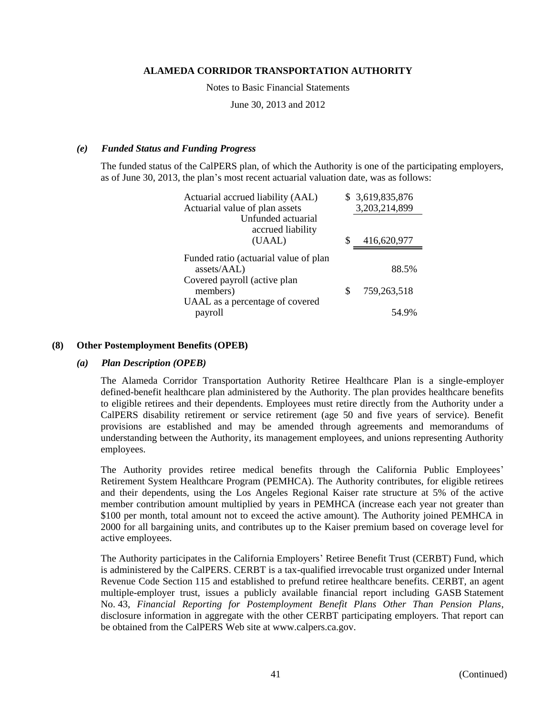Notes to Basic Financial Statements

June 30, 2013 and 2012

## *(e) Funded Status and Funding Progress*

The funded status of the CalPERS plan, of which the Authority is one of the participating employers, as of June 30, 2013, the plan's most recent actuarial valuation date, was as follows:

| Actuarial accrued liability (AAL)<br>Actuarial value of plan assets |   | \$ 3,619,835,876<br>3,203,214,899 |
|---------------------------------------------------------------------|---|-----------------------------------|
| Unfunded actuarial<br>accrued liability                             |   |                                   |
| (UAAL)                                                              | S | 416,620,977                       |
| Funded ratio (actuarial value of plan                               |   |                                   |
| assets/AAL)                                                         |   | 88.5%                             |
| Covered payroll (active plan<br>members)                            | S | 759,263,518                       |
| UAAL as a percentage of covered<br>payroll                          |   | 54.9%                             |

## **(8) Other Postemployment Benefits (OPEB)**

## *(a) Plan Description (OPEB)*

The Alameda Corridor Transportation Authority Retiree Healthcare Plan is a single-employer defined-benefit healthcare plan administered by the Authority. The plan provides healthcare benefits to eligible retirees and their dependents. Employees must retire directly from the Authority under a CalPERS disability retirement or service retirement (age 50 and five years of service). Benefit provisions are established and may be amended through agreements and memorandums of understanding between the Authority, its management employees, and unions representing Authority employees.

The Authority provides retiree medical benefits through the California Public Employees' Retirement System Healthcare Program (PEMHCA). The Authority contributes, for eligible retirees and their dependents, using the Los Angeles Regional Kaiser rate structure at 5% of the active member contribution amount multiplied by years in PEMHCA (increase each year not greater than \$100 per month, total amount not to exceed the active amount). The Authority joined PEMHCA in 2000 for all bargaining units, and contributes up to the Kaiser premium based on coverage level for active employees.

The Authority participates in the California Employers' Retiree Benefit Trust (CERBT) Fund, which is administered by the CalPERS. CERBT is a tax-qualified irrevocable trust organized under Internal Revenue Code Section 115 and established to prefund retiree healthcare benefits. CERBT, an agent multiple-employer trust, issues a publicly available financial report including GASB Statement No. 43, *Financial Reporting for Postemployment Benefit Plans Other Than Pension Plans*, disclosure information in aggregate with the other CERBT participating employers. That report can be obtained from the CalPERS Web site at www.calpers.ca.gov.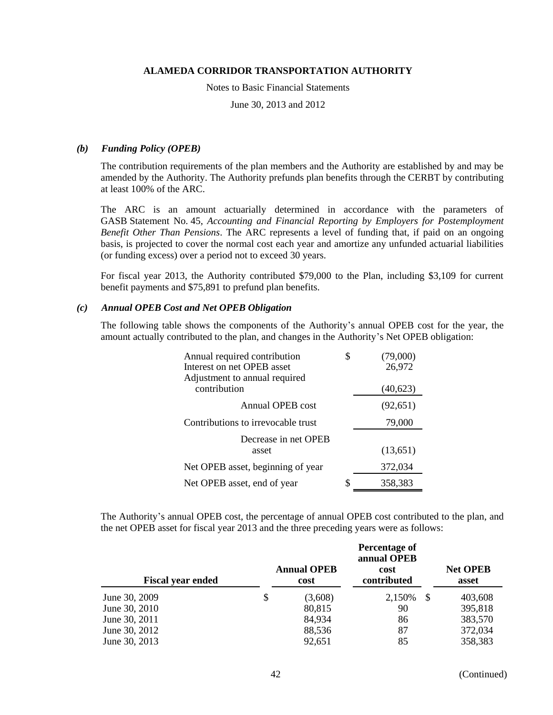Notes to Basic Financial Statements

June 30, 2013 and 2012

## *(b) Funding Policy (OPEB)*

The contribution requirements of the plan members and the Authority are established by and may be amended by the Authority. The Authority prefunds plan benefits through the CERBT by contributing at least 100% of the ARC.

The ARC is an amount actuarially determined in accordance with the parameters of GASB Statement No. 45, *Accounting and Financial Reporting by Employers for Postemployment Benefit Other Than Pensions*. The ARC represents a level of funding that, if paid on an ongoing basis, is projected to cover the normal cost each year and amortize any unfunded actuarial liabilities (or funding excess) over a period not to exceed 30 years.

For fiscal year 2013, the Authority contributed \$79,000 to the Plan, including \$3,109 for current benefit payments and \$75,891 to prefund plan benefits.

## *(c) Annual OPEB Cost and Net OPEB Obligation*

The following table shows the components of the Authority's annual OPEB cost for the year, the amount actually contributed to the plan, and changes in the Authority's Net OPEB obligation:

| Annual required contribution<br>Interest on net OPEB asset | (79,000)<br>26,972 |
|------------------------------------------------------------|--------------------|
| Adjustment to annual required<br>contribution              | (40,623)           |
| Annual OPEB cost                                           | (92, 651)          |
| Contributions to irrevocable trust                         | 79,000             |
| Decrease in net OPEB                                       |                    |
| asset                                                      | (13,651)           |
| Net OPEB asset, beginning of year                          | 372,034            |
| Net OPEB asset, end of year                                | 358,383            |

The Authority's annual OPEB cost, the percentage of annual OPEB cost contributed to the plan, and the net OPEB asset for fiscal year 2013 and the three preceding years were as follows:

|                          |                            | Percentage of<br>annual OPEB |                          |  |
|--------------------------|----------------------------|------------------------------|--------------------------|--|
| <b>Fiscal year ended</b> | <b>Annual OPEB</b><br>cost | cost<br>contributed          | <b>Net OPEB</b><br>asset |  |
| June 30, 2009            | \$<br>(3,608)              | 2,150%<br>-S                 | 403,608                  |  |
| June 30, 2010            | 80,815                     | 90                           | 395,818                  |  |
| June 30, 2011            | 84,934                     | 86                           | 383,570                  |  |
| June 30, 2012            | 88,536                     | 87                           | 372,034                  |  |
| June 30, 2013            | 92,651                     | 85                           | 358,383                  |  |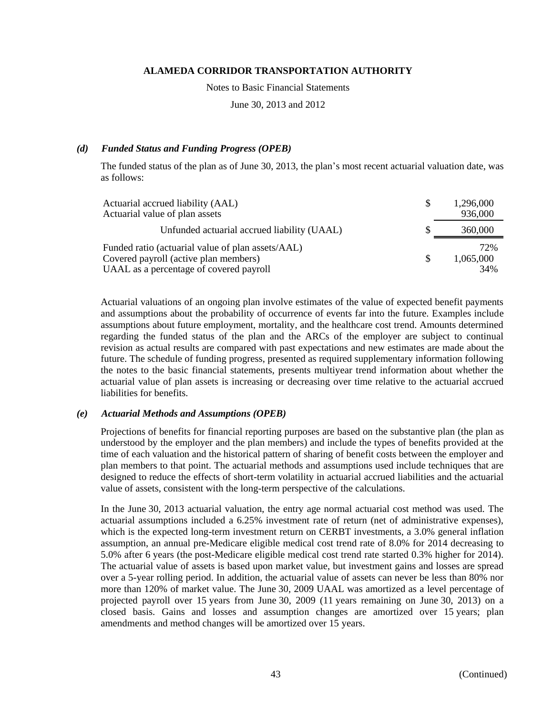Notes to Basic Financial Statements

June 30, 2013 and 2012

## *(d) Funded Status and Funding Progress (OPEB)*

The funded status of the plan as of June 30, 2013, the plan's most recent actuarial valuation date, was as follows:

| Actuarial accrued liability (AAL)<br>Actuarial value of plan assets                                                                   |     | 1,296,000<br>936,000    |
|---------------------------------------------------------------------------------------------------------------------------------------|-----|-------------------------|
| Unfunded actuarial accrued liability (UAAL)                                                                                           |     | 360,000                 |
| Funded ratio (actuarial value of plan assets/AAL)<br>Covered payroll (active plan members)<br>UAAL as a percentage of covered payroll | \$. | 72%<br>1,065,000<br>34% |

Actuarial valuations of an ongoing plan involve estimates of the value of expected benefit payments and assumptions about the probability of occurrence of events far into the future. Examples include assumptions about future employment, mortality, and the healthcare cost trend. Amounts determined regarding the funded status of the plan and the ARCs of the employer are subject to continual revision as actual results are compared with past expectations and new estimates are made about the future. The schedule of funding progress, presented as required supplementary information following the notes to the basic financial statements, presents multiyear trend information about whether the actuarial value of plan assets is increasing or decreasing over time relative to the actuarial accrued liabilities for benefits.

## *(e) Actuarial Methods and Assumptions (OPEB)*

Projections of benefits for financial reporting purposes are based on the substantive plan (the plan as understood by the employer and the plan members) and include the types of benefits provided at the time of each valuation and the historical pattern of sharing of benefit costs between the employer and plan members to that point. The actuarial methods and assumptions used include techniques that are designed to reduce the effects of short-term volatility in actuarial accrued liabilities and the actuarial value of assets, consistent with the long-term perspective of the calculations.

In the June 30, 2013 actuarial valuation, the entry age normal actuarial cost method was used. The actuarial assumptions included a 6.25% investment rate of return (net of administrative expenses), which is the expected long-term investment return on CERBT investments, a 3.0% general inflation assumption, an annual pre-Medicare eligible medical cost trend rate of 8.0% for 2014 decreasing to 5.0% after 6 years (the post-Medicare eligible medical cost trend rate started 0.3% higher for 2014). The actuarial value of assets is based upon market value, but investment gains and losses are spread over a 5-year rolling period. In addition, the actuarial value of assets can never be less than 80% nor more than 120% of market value. The June 30, 2009 UAAL was amortized as a level percentage of projected payroll over 15 years from June 30, 2009 (11 years remaining on June 30, 2013) on a closed basis. Gains and losses and assumption changes are amortized over 15 years; plan amendments and method changes will be amortized over 15 years.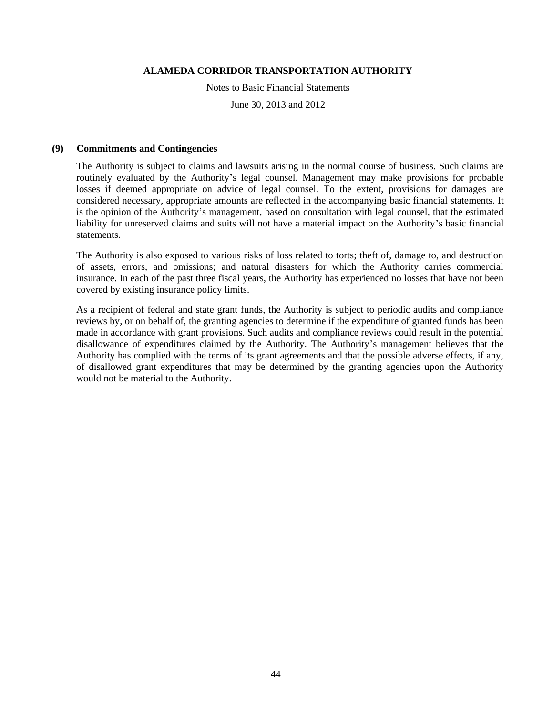Notes to Basic Financial Statements

June 30, 2013 and 2012

### **(9) Commitments and Contingencies**

The Authority is subject to claims and lawsuits arising in the normal course of business. Such claims are routinely evaluated by the Authority's legal counsel. Management may make provisions for probable losses if deemed appropriate on advice of legal counsel. To the extent, provisions for damages are considered necessary, appropriate amounts are reflected in the accompanying basic financial statements. It is the opinion of the Authority's management, based on consultation with legal counsel, that the estimated liability for unreserved claims and suits will not have a material impact on the Authority's basic financial statements.

The Authority is also exposed to various risks of loss related to torts; theft of, damage to, and destruction of assets, errors, and omissions; and natural disasters for which the Authority carries commercial insurance. In each of the past three fiscal years, the Authority has experienced no losses that have not been covered by existing insurance policy limits.

As a recipient of federal and state grant funds, the Authority is subject to periodic audits and compliance reviews by, or on behalf of, the granting agencies to determine if the expenditure of granted funds has been made in accordance with grant provisions. Such audits and compliance reviews could result in the potential disallowance of expenditures claimed by the Authority. The Authority's management believes that the Authority has complied with the terms of its grant agreements and that the possible adverse effects, if any, of disallowed grant expenditures that may be determined by the granting agencies upon the Authority would not be material to the Authority.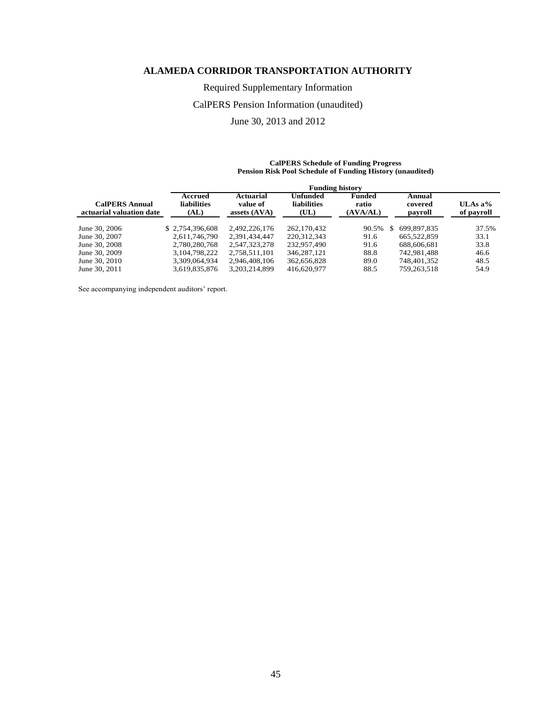Required Supplementary Information

CalPERS Pension Information (unaudited)

June 30, 2013 and 2012

#### **CalPERS Schedule of Funding Progress Pension Risk Pool Schedule of Funding History (unaudited)**

|                                                   | <b>Funding history</b>                |                                       |                                        |                                    |                              |                      |
|---------------------------------------------------|---------------------------------------|---------------------------------------|----------------------------------------|------------------------------------|------------------------------|----------------------|
| <b>CalPERS Annual</b><br>actuarial valuation date | Accrued<br><b>liabilities</b><br>(AL) | Actuarial<br>value of<br>assets (AVA) | Unfunded<br><b>liabilities</b><br>(UL) | <b>Funded</b><br>ratio<br>(AVA/AL) | Annual<br>covered<br>payroll | ULAsa%<br>of payroll |
| June 30, 2006                                     | \$2.754.396.608                       | 2.492.226.176                         | 262, 170, 432                          | 90.5%<br>\$.                       | 699.897.835                  | 37.5%                |
| June 30, 2007                                     | 2.611.746.790                         | 2.391.434.447                         | 220.312.343                            | 91.6                               | 665,522,859                  | 33.1                 |
| June 30, 2008                                     | 2,780,280,768                         | 2.547.323.278                         | 232,957,490                            | 91.6                               | 688,606,681                  | 33.8                 |
| June 30, 2009                                     | 3.104.798.222                         | 2.758.511.101                         | 346.287.121                            | 88.8                               | 742.981.488                  | 46.6                 |
| June 30, 2010                                     | 3,309,064,934                         | 2.946.408.106                         | 362,656,828                            | 89.0                               | 748.401.352                  | 48.5                 |
| June 30, 2011                                     | 3.619.835.876                         | 3.203.214.899                         | 416.620.977                            | 88.5                               | 759.263.518                  | 54.9                 |

See accompanying independent auditors' report.